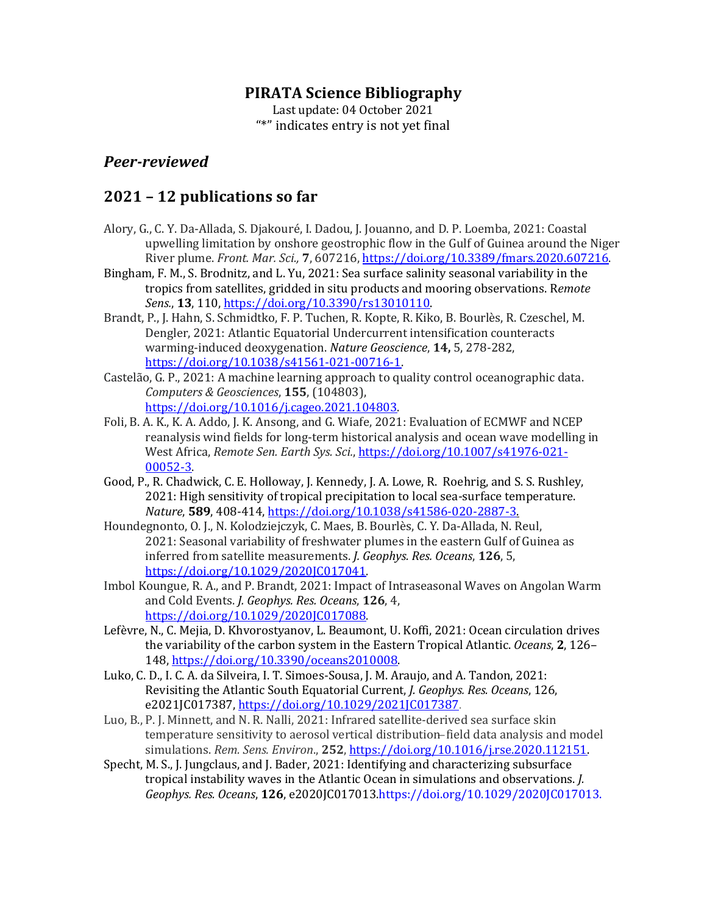#### **PIRATA Science Bibliography**

Last update: 04 October 2021 "\*" indicates entry is not yet final

## *Peer-reviewed*

## **2021 – 12 publications so far**

- Alory, G., C. Y. Da-Allada, S. Djakouré, I. Dadou, J. Jouanno, and D. P. Loemba, 2021: Coastal upwelling limitation by onshore geostrophic flow in the Gulf of Guinea around the Niger River plume. *Front. Mar. Sci.*, 7, 607216, https://doi.org/10.3389/fmars.2020.607216.
- Bingham, F. M., S. Brodnitz, and L. Yu, 2021: Sea surface salinity seasonal variability in the tropics from satellites, gridded in situ products and mooring observations. Remote *Sens.*, **13**, 110, https://doi.org/10.3390/rs13010110.
- Brandt, P., J. Hahn, S. Schmidtko, F. P. Tuchen, R. Kopte, R. Kiko, B. Bourlès, R. Czeschel, M. Dengler, 2021: Atlantic Equatorial Undercurrent intensification counteracts warming-induced deoxygenation. *Nature Geoscience*, **14,** 5, 278-282, https://doi.org/10.1038/s41561-021-00716-1.
- Castelão, G. P., 2021: A machine learning approach to quality control oceanographic data. *Computers & Geosciences*, **155**, (104803), https://doi.org/10.1016/j.cageo.2021.104803.
- Foli, B. A. K., K. A. Addo, J. K. Ansong, and G. Wiafe, 2021: Evaluation of ECMWF and NCEP reanalysis wind fields for long-term historical analysis and ocean wave modelling in West Africa, *Remote Sen. Earth Sys. Sci.*, https://doi.org/10.1007/s41976-021-00052-3.
- Good, P., R. Chadwick, C. E. Holloway, J. Kennedy, J. A. Lowe, R. Roehrig, and S. S. Rushley, 2021: High sensitivity of tropical precipitation to local sea-surface temperature. *Nature*, **589**, 408-414, https://doi.org/10.1038/s41586-020-2887-3.
- Houndegnonto, O. J., N. Kolodziejczyk, C. Maes, B. Bourlès, C. Y. Da-Allada, N. Reul, 2021: Seasonal variability of freshwater plumes in the eastern Gulf of Guinea as inferred from satellite measurements. *J. Geophys. Res. Oceans*, **126**, 5, https://doi.org/10.1029/2020JC017041.
- Imbol Koungue, R. A., and P. Brandt, 2021: Impact of Intraseasonal Waves on Angolan Warm and Cold Events. *J. Geophys. Res. Oceans*, **126**, 4, https://doi.org/10.1029/2020JC017088.
- Lefèvre, N., C. Mejia, D. Khvorostyanov, L. Beaumont, U. Koffi, 2021: Ocean circulation drives the variability of the carbon system in the Eastern Tropical Atlantic. *Oceans*, 2, 126– 148, https://doi.org/10.3390/oceans2010008.
- Luko, C. D., I. C. A. da Silveira, I. T. Simoes-Sousa, J. M. Araujo, and A. Tandon, 2021: Revisiting the Atlantic South Equatorial Current, *J. Geophys. Res. Oceans*, 126, e2021JC017387, https://doi.org/10.1029/2021JC017387.
- Luo, B., P. J. Minnett, and N. R. Nalli, 2021: Infrared satellite-derived sea surface skin temperature sensitivity to aerosol vertical distribution–field data analysis and model simulations. *Rem. Sens. Environ*., **252**, https://doi.org/10.1016/j.rse.2020.112151.
- Specht, M. S., J. Jungclaus, and J. Bader, 2021: Identifying and characterizing subsurface tropical instability waves in the Atlantic Ocean in simulations and observations. *J. Geophys. Res. Oceans*, **126**, e2020JC017013.https://doi.org/10.1029/2020JC017013.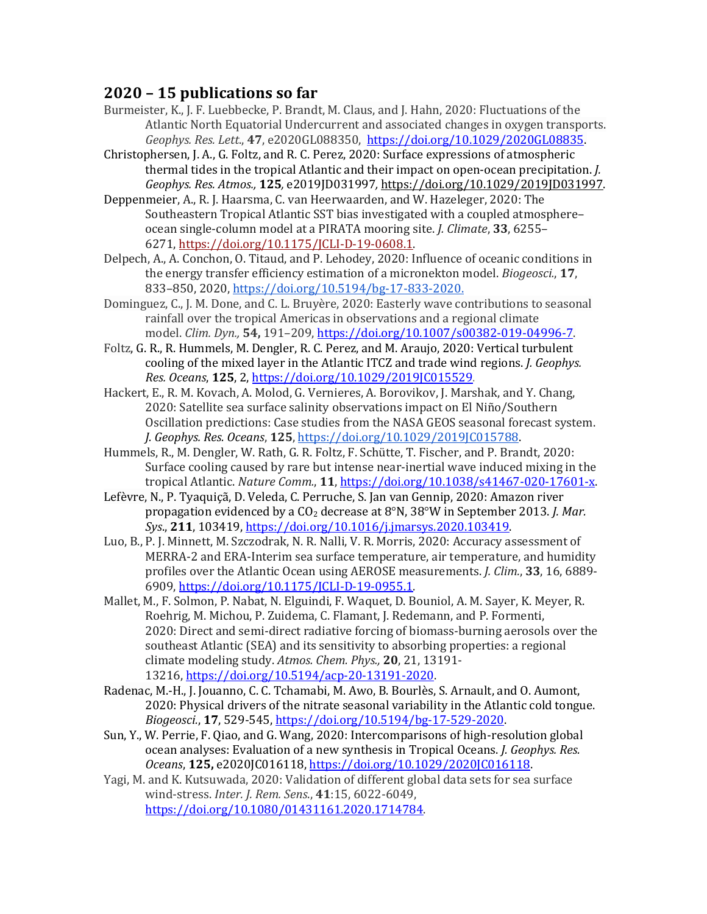## **2020 – 15 publications so far**

- Burmeister, K., J. F. Luebbecke, P. Brandt, M. Claus, and J. Hahn, 2020: Fluctuations of the Atlantic North Equatorial Undercurrent and associated changes in oxygen transports. *Geophys. Res. Lett*., **47**, e2020GL088350, https://doi.org/10.1029/2020GL08835.
- Christophersen, J. A., G. Foltz, and R. C. Perez, 2020: Surface expressions of atmospheric thermal tides in the tropical Atlantic and their impact on open-ocean precipitation. *J. Geophys. Res. Atmos.,* **125***,* e2019JD031997*,* https://doi.org/10.1029/2019JD031997.
- Deppenmeier, A., R. J. Haarsma, C. van Heerwaarden, and W. Hazeleger, 2020: The Southeastern Tropical Atlantic SST bias investigated with a coupled atmosphere– ocean single-column model at a PIRATA mooring site. *J. Climate*, 33, 6255– 6271, https://doi.org/10.1175/JCLI-D-19-0608.1.
- Delpech, A., A. Conchon, O. Titaud, and P. Lehodey, 2020: Influence of oceanic conditions in the energy transfer efficiency estimation of a micronekton model. *Biogeosci.*, **17**, 833-850, 2020, https://doi.org/10.5194/bg-17-833-2020.
- Dominguez, C., J. M. Done, and C. L. Bruyère, 2020: Easterly wave contributions to seasonal rainfall over the tropical Americas in observations and a regional climate model. *Clim. Dyn.,* **54,** 191–209, https://doi.org/10.1007/s00382-019-04996-7.
- Foltz, G. R., R. Hummels, M. Dengler, R. C. Perez, and M. Araujo, 2020: Vertical turbulent cooling of the mixed layer in the Atlantic ITCZ and trade wind regions. *J. Geophys. Res. Oceans*, **125**, 2, https://doi.org/10.1029/2019JC015529.
- Hackert, E., R. M. Kovach, A. Molod, G. Vernieres, A. Borovikov, J. Marshak, and Y. Chang, 2020: Satellite sea surface salinity observations impact on El Niño/Southern Oscillation predictions: Case studies from the NASA GEOS seasonal forecast system. *J. Geophys. Res. Oceans*, **125**, https://doi.org/10.1029/2019JC015788.
- Hummels, R., M. Dengler, W. Rath, G. R. Foltz, F. Schütte, T. Fischer, and P. Brandt, 2020: Surface cooling caused by rare but intense near-inertial wave induced mixing in the tropical Atlantic. *Nature Comm.*, **11**, https://doi.org/10.1038/s41467-020-17601-x.
- Lefèvre, N., P. Tyaquiçã, D. Veleda, C. Perruche, S. Jan van Gennip, 2020: Amazon river propagation evidenced by a  $CO<sub>2</sub>$  decrease at  $8°N$ ,  $38°W$  in September 2013. *J. Mar. Sys*., **211**, 103419, https://doi.org/10.1016/j.jmarsys.2020.103419.
- Luo, B., P. J. Minnett, M. Szczodrak, N. R. Nalli, V. R. Morris, 2020: Accuracy assessment of MERRA-2 and ERA-Interim sea surface temperature, air temperature, and humidity profiles over the Atlantic Ocean using AEROSE measurements. *J. Clim.*, 33, 16, 6889-6909, https://doi.org/10.1175/JCLI-D-19-0955.1.
- Mallet, M., F. Solmon, P. Nabat, N. Elguindi, F. Waquet, D. Bouniol, A. M. Sayer, K. Meyer, R. Roehrig, M. Michou, P. Zuidema, C. Flamant, J. Redemann, and P. Formenti, 2020: Direct and semi-direct radiative forcing of biomass-burning aerosols over the southeast Atlantic (SEA) and its sensitivity to absorbing properties: a regional climate modeling study. *Atmos. Chem. Phys.,* **20**, 21, 13191- 13216, https://doi.org/10.5194/acp-20-13191-2020.
- Radenac, M.-H., J. Jouanno, C. C. Tchamabi, M. Awo, B. Bourlès, S. Arnault, and O. Aumont, 2020: Physical drivers of the nitrate seasonal variability in the Atlantic cold tongue. *Biogeosci.*, **17**, 529-545, https://doi.org/10.5194/bg-17-529-2020.
- Sun, Y., W. Perrie, F. Qiao, and G. Wang, 2020: Intercomparisons of high-resolution global ocean analyses: Evaluation of a new synthesis in Tropical Oceans. *J. Geophys. Res. Oceans*, **125,** e2020JC016118, https://doi.org/10.1029/2020JC016118.
- Yagi, M. and K. Kutsuwada, 2020: Validation of different global data sets for sea surface wind-stress. *Inter. J. Rem. Sens*., **41**:15, 6022-6049, https://doi.org/10.1080/01431161.2020.1714784.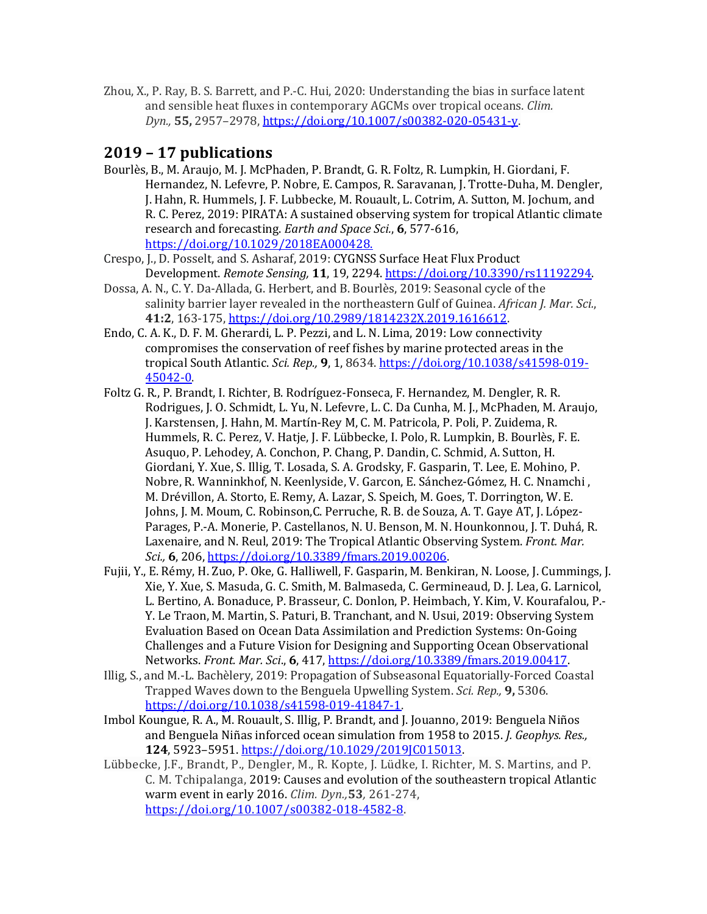Zhou, X., P. Ray, B. S. Barrett, and P.-C. Hui, 2020: Understanding the bias in surface latent and sensible heat fluxes in contemporary AGCMs over tropical oceans. *Clim. Dyn.,* **55,** 2957–2978, https://doi.org/10.1007/s00382-020-05431-y.

## **2019 – 17 publications**

- Bourlès, B., M. Araujo, M. J. McPhaden, P. Brandt, G. R. Foltz, R. Lumpkin, H. Giordani, F. Hernandez, N. Lefevre, P. Nobre, E. Campos, R. Saravanan, J. Trotte-Duha, M. Dengler, J. Hahn, R. Hummels, J. F. Lubbecke, M. Rouault, L. Cotrim, A. Sutton, M. Jochum, and R. C. Perez, 2019: PIRATA: A sustained observing system for tropical Atlantic climate research and forecasting. *Earth and Space Sci.*, 6, 577-616, https://doi.org/10.1029/2018EA000428.
- Crespo, J., D. Posselt, and S. Asharaf, 2019: CYGNSS Surface Heat Flux Product Development. *Remote Sensing,* **11**, 19, 2294. https://doi.org/10.3390/rs11192294.
- Dossa, A. N., C. Y. Da-Allada, G. Herbert, and B. Bourlès, 2019: Seasonal cycle of the salinity barrier layer revealed in the northeastern Gulf of Guinea. *African J. Mar. Sci.*, **41:2**, 163-175, https://doi.org/10.2989/1814232X.2019.1616612.
- Endo, C. A. K., D. F. M. Gherardi, L. P. Pezzi, and L. N. Lima, 2019: Low connectivity compromises the conservation of reef fishes by marine protected areas in the tropical South Atlantic. *Sci. Rep.,* **9**, 1, 8634. https://doi.org/10.1038/s41598-019- 45042-0.
- Foltz G. R., P. Brandt, I. Richter, B. Rodríguez-Fonseca, F. Hernandez, M. Dengler, R. R. Rodrigues, J. O. Schmidt, L. Yu, N. Lefevre, L. C. Da Cunha, M. J., McPhaden, M. Araujo, J. Karstensen, J. Hahn, M. Martín-Rey M, C. M. Patricola, P. Poli, P. Zuidema, R. Hummels, R. C. Perez, V. Hatje, J. F. Lübbecke, I. Polo, R. Lumpkin, B. Bourlès, F. E. Asuguo, P. Lehodey, A. Conchon, P. Chang, P. Dandin, C. Schmid, A. Sutton, H. Giordani, Y. Xue, S. Illig, T. Losada, S. A. Grodsky, F. Gasparin, T. Lee, E. Mohino, P. Nobre, R. Wanninkhof, N. Keenlyside, V. Garcon, E. Sánchez-Gómez, H. C. Nnamchi, M. Drévillon, A. Storto, E. Remy, A. Lazar, S. Speich, M. Goes, T. Dorrington, W. E. Johns, J. M. Moum, C. Robinson, C. Perruche, R. B. de Souza, A. T. Gaye AT, J. López-Parages, P.-A. Monerie, P. Castellanos, N. U. Benson, M. N. Hounkonnou, J. T. Duhá, R. Laxenaire, and N. Reul, 2019: The Tropical Atlantic Observing System. *Front. Mar.* Sci., **6**, 206, https://doi.org/10.3389/fmars.2019.00206.
- Fujii, Y., E. Rémy, H. Zuo, P. Oke, G. Halliwell, F. Gasparin, M. Benkiran, N. Loose, J. Cummings, J. Xie, Y. Xue, S. Masuda, G. C. Smith, M. Balmaseda, C. Germineaud, D. J. Lea, G. Larnicol, L. Bertino, A. Bonaduce, P. Brasseur, C. Donlon, P. Heimbach, Y. Kim, V. Kourafalou, P.-Y. Le Traon, M. Martin, S. Paturi, B. Tranchant, and N. Usui, 2019: Observing System Evaluation Based on Ocean Data Assimilation and Prediction Systems: On-Going Challenges and a Future Vision for Designing and Supporting Ocean Observational Networks. *Front. Mar. Sci.*, 6, 417, https://doi.org/10.3389/fmars.2019.00417.
- Illig, S., and M.-L. Bachèlery, 2019: Propagation of Subseasonal Equatorially-Forced Coastal Trapped Waves down to the Benguela Upwelling System. *Sci. Rep.,* **9,** 5306. https://doi.org/10.1038/s41598-019-41847-1.
- Imbol Koungue, R. A., M. Rouault, S. Illig, P. Brandt, and J. Jouanno, 2019: Benguela Niños and Benguela Niñas inforced ocean simulation from 1958 to 2015. *J. Geophys. Res.*, **124**, 5923–5951. https://doi.org/10.1029/2019JC015013.
- Lübbecke, J.F., Brandt, P., Dengler, M., R. Kopte, J. Lüdke, I. Richter, M. S. Martins, and P. C. M. Tchipalanga, 2019: Causes and evolution of the southeastern tropical Atlantic warm event in early 2016. *Clim. Dyn.,***53***,* 261-274, https://doi.org/10.1007/s00382-018-4582-8.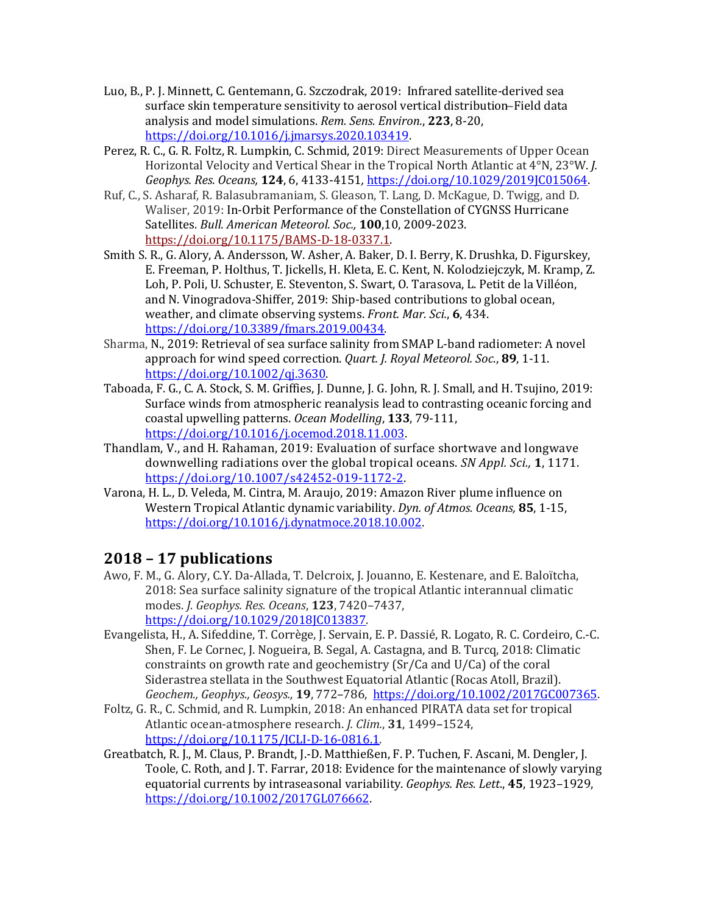- Luo, B., P. J. Minnett, C. Gentemann, G. Szczodrak, 2019: Infrared satellite-derived sea surface skin temperature sensitivity to aerosol vertical distribution-Field data analysis and model simulations. Rem. Sens. Environ., 223, 8-20, https://doi.org/10.1016/j.jmarsys.2020.103419.
- Perez, R. C., G. R. Foltz, R. Lumpkin, C. Schmid, 2019: Direct Measurements of Upper Ocean Horizontal Velocity and Vertical Shear in the Tropical North Atlantic at 4°N, 23°W. *J. Geophys. Res. Oceans,* **124**, 6, 4133-4151*,* https://doi.org/10.1029/2019JC015064.
- Ruf, C., S. Asharaf, R. Balasubramaniam, S. Gleason, T. Lang, D. McKague, D. Twigg, and D. Waliser, 2019: In-Orbit Performance of the Constellation of CYGNSS Hurricane Satellites. *Bull. American Meteorol. Soc.,* **100**,10, 2009-2023. https://doi.org/10.1175/BAMS-D-18-0337.1.
- Smith S. R., G. Alory, A. Andersson, W. Asher, A. Baker, D. I. Berry, K. Drushka, D. Figurskey, E. Freeman, P. Holthus, T. Jickells, H. Kleta, E. C. Kent, N. Kolodziejczyk, M. Kramp, Z. Loh, P. Poli, U. Schuster, E. Steventon, S. Swart, O. Tarasova, L. Petit de la Villéon, and N. Vinogradova-Shiffer, 2019: Ship-based contributions to global ocean, weather, and climate observing systems. *Front. Mar. Sci.*, 6, 434. https://doi.org/10.3389/fmars.2019.00434.
- Sharma, N., 2019: Retrieval of sea surface salinity from SMAP L-band radiometer: A novel approach for wind speed correction. *Quart. J. Royal Meteorol. Soc.*, **89**, 1-11. https://doi.org/10.1002/qj.3630.
- Taboada, F. G., C. A. Stock, S. M. Griffies, J. Dunne, J. G. John, R. J. Small, and H. Tsujino, 2019: Surface winds from atmospheric reanalysis lead to contrasting oceanic forcing and coastal upwelling patterns. *Ocean Modelling*, 133, 79-111, https://doi.org/10.1016/j.ocemod.2018.11.003.
- Thandlam, V., and H. Rahaman, 2019: Evaluation of surface shortwave and longwave downwelling radiations over the global tropical oceans. *SN Appl. Sci.*, 1, 1171. https://doi.org/10.1007/s42452-019-1172-2.
- Varona, H. L., D. Veleda, M. Cintra, M. Araujo, 2019: Amazon River plume influence on Western Tropical Atlantic dynamic variability. *Dyn. of Atmos. Oceans*, 85, 1-15, https://doi.org/10.1016/j.dynatmoce.2018.10.002.

## **2018 – 17 publications**

- Awo, F. M., G. Alory, C.Y. Da-Allada, T. Delcroix, J. Jouanno, E. Kestenare, and E. Baloïtcha, 2018: Sea surface salinity signature of the tropical Atlantic interannual climatic modes. *J. Geophys. Res. Oceans*, **123**, 7420–7437, https://doi.org/10.1029/2018JC013837.
- Evangelista, H., A. Sifeddine, T. Corrège, J. Servain, E. P. Dassié, R. Logato, R. C. Cordeiro, C.-C. Shen, F. Le Cornec, J. Nogueira, B. Segal, A. Castagna, and B. Turcq, 2018: Climatic constraints on growth rate and geochemistry  $(Sr/Ca$  and  $U/Ca$  of the coral Siderastrea stellata in the Southwest Equatorial Atlantic (Rocas Atoll, Brazil). *Geochem., Geophys., Geosys.,* **19**, 772–786, https://doi.org/10.1002/2017GC007365.
- Foltz, G. R., C. Schmid, and R. Lumpkin, 2018: An enhanced PIRATA data set for tropical Atlantic ocean-atmosphere research. *J. Clim.*, 31, 1499-1524, https://doi.org/10.1175/JCLI-D-16-0816.1.
- Greatbatch, R. J., M. Claus, P. Brandt, J.-D. Matthießen, F. P. Tuchen, F. Ascani, M. Dengler, J. Toole, C. Roth, and J. T. Farrar, 2018: Evidence for the maintenance of slowly varying equatorial currents by intraseasonal variability. *Geophys. Res. Lett.*, **45**, 1923-1929, https://doi.org/10.1002/2017GL076662.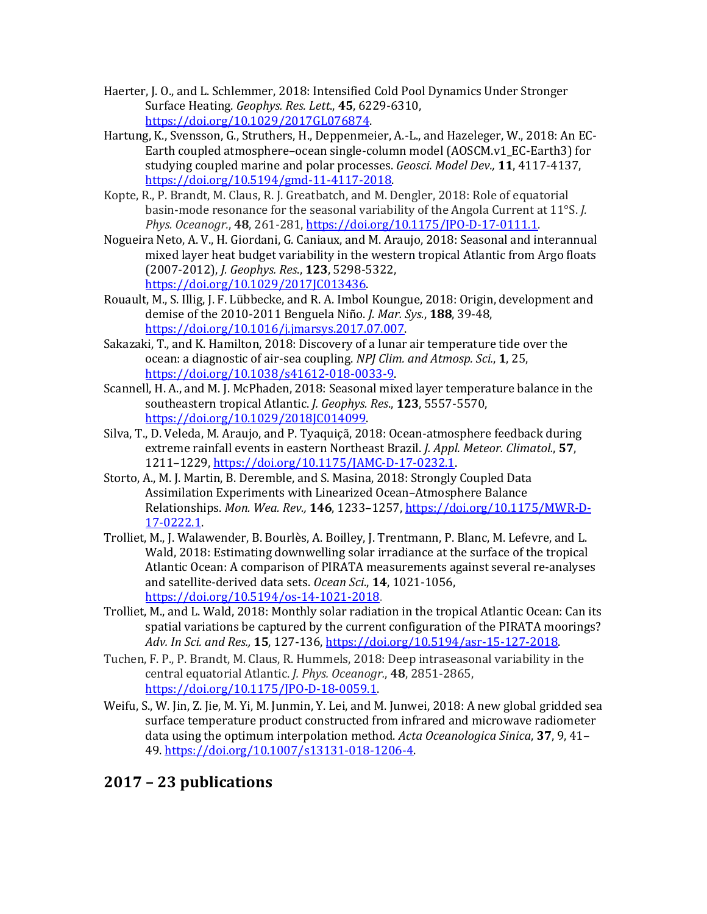- Haerter, J. O., and L. Schlemmer, 2018: Intensified Cold Pool Dynamics Under Stronger Surface Heating. *Geophys. Res. Lett*., **45**, 6229-6310, https://doi.org/10.1029/2017GL076874.
- Hartung, K., Svensson, G., Struthers, H., Deppenmeier, A.-L., and Hazeleger, W., 2018: An EC-Earth coupled atmosphere–ocean single-column model (AOSCM.v1\_EC-Earth3) for studying coupled marine and polar processes. *Geosci. Model Dev.*, 11, 4117-4137, https://doi.org/10.5194/gmd-11-4117-2018.
- Kopte, R., P. Brandt, M. Claus, R. J. Greatbatch, and M. Dengler, 2018: Role of equatorial basin-mode resonance for the seasonal variability of the Angola Current at 11°S. *J. Phys. Oceanogr.*, **48**, 261-281, https://doi.org/10.1175/JPO-D-17-0111.1.
- Nogueira Neto, A. V., H. Giordani, G. Caniaux, and M. Araujo, 2018: Seasonal and interannual mixed layer heat budget variability in the western tropical Atlantic from Argo floats (2007-2012), *J. Geophys. Res.*, **123**, 5298-5322, https://doi.org/10.1029/2017JC013436.
- Rouault, M., S. Illig, J. F. Lübbecke, and R. A. Imbol Koungue, 2018: Origin, development and demise of the 2010-2011 Benguela Niño. *J. Mar. Sys.*, **188**, 39-48, https://doi.org/10.1016/j.jmarsys.2017.07.007.
- Sakazaki, T., and K. Hamilton, 2018: Discovery of a lunar air temperature tide over the ocean: a diagnostic of air-sea coupling. *NPJ Clim. and Atmosp. Sci.*, 1, 25, https://doi.org/10.1038/s41612-018-0033-9.
- Scannell, H. A., and M. J. McPhaden, 2018: Seasonal mixed layer temperature balance in the southeastern tropical Atlantic. *J. Geophys. Res.*, 123, 5557-5570, https://doi.org/10.1029/2018JC014099.
- Silva, T., D. Veleda, M. Araujo, and P. Tyaquiçã, 2018: Ocean-atmosphere feedback during extreme rainfall events in eastern Northeast Brazil. *J. Appl. Meteor. Climatol.*, 57, 1211-1229, https://doi.org/10.1175/JAMC-D-17-0232.1.
- Storto, A., M. J. Martin, B. Deremble, and S. Masina, 2018: Strongly Coupled Data Assimilation Experiments with Linearized Ocean-Atmosphere Balance Relationships. *Mon. Wea. Rev.,* **146**, 1233–1257, https://doi.org/10.1175/MWR-D-17-0222.1.
- Trolliet, M., J. Walawender, B. Bourlès, A. Boilley, J. Trentmann, P. Blanc, M. Lefevre, and L. Wald, 2018: Estimating downwelling solar irradiance at the surface of the tropical Atlantic Ocean: A comparison of PIRATA measurements against several re-analyses and satellite-derived data sets. *Ocean Sci.*, **14**, 1021-1056, https://doi.org/10.5194/os-14-1021-2018.
- Trolliet, M., and L. Wald, 2018: Monthly solar radiation in the tropical Atlantic Ocean: Can its spatial variations be captured by the current configuration of the PIRATA moorings? *Adv. In Sci. and Res.,* **15**, 127-136, https://doi.org/10.5194/asr-15-127-2018.
- Tuchen, F. P., P. Brandt, M. Claus, R. Hummels, 2018: Deep intraseasonal variability in the central equatorial Atlantic. *J. Phys. Oceanogr.*, 48, 2851-2865, https://doi.org/10.1175/JPO-D-18-0059.1.
- Weifu, S., W. Jin, Z. Jie, M. Yi, M. Junmin, Y. Lei, and M. Junwei, 2018: A new global gridded sea surface temperature product constructed from infrared and microwave radiometer data using the optimum interpolation method. Acta Oceanologica Sinica, 37, 9, 41-49. https://doi.org/10.1007/s13131-018-1206-4.

# **2017 – 23 publications**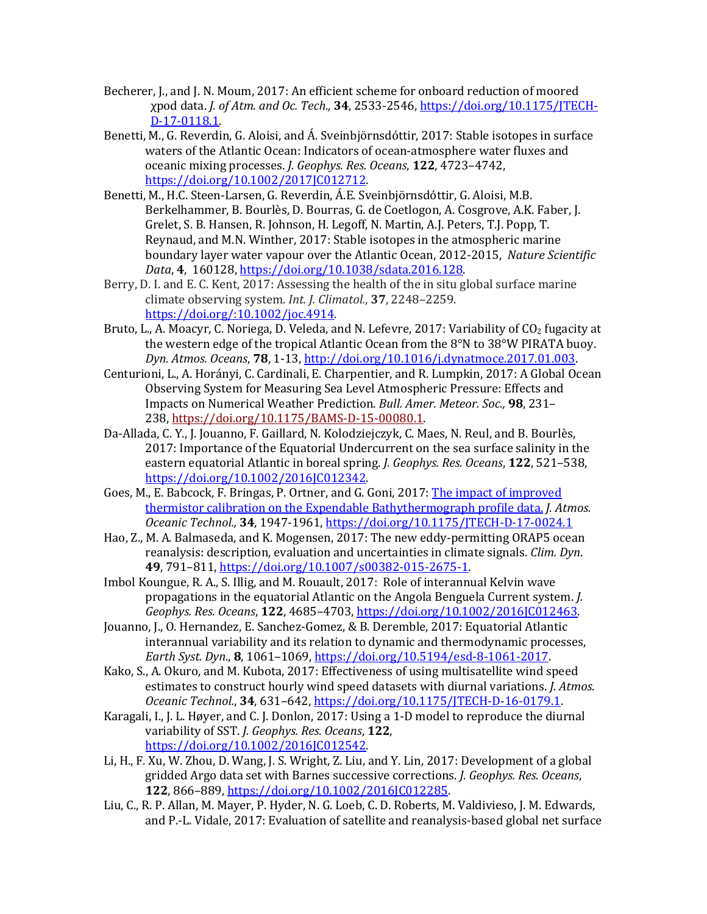- Becherer, J., and J. N. Moum, 2017: An efficient scheme for onboard reduction of moored χpod data. *J. of Atm. and Oc. Tech.*, 34, 2533-2546, https://doi.org/10.1175/JTECH-D-17-0118.1.
- Benetti, M., G. Reverdin, G. Aloisi, and Á. Sveinbjörnsdóttir, 2017: Stable isotopes in surface waters of the Atlantic Ocean: Indicators of ocean-atmosphere water fluxes and oceanic mixing processes. *J. Geophys. Res. Oceans*, 122, 4723-4742, https://doi.org/10.1002/2017JC012712.
- Benetti, M., H.C. Steen-Larsen, G. Reverdin, Á.E. Sveinbjörnsdóttir, G. Aloisi, M.B. Berkelhammer, B. Bourlès, D. Bourras, G. de Coetlogon, A. Cosgrove, A.K. Faber, J. Grelet, S. B. Hansen, R. Johnson, H. Legoff, N. Martin, A.J. Peters, T.J. Popp, T. Reynaud, and M.N. Winther, 2017: Stable isotopes in the atmospheric marine boundary layer water vapour over the Atlantic Ocean, 2012-2015, *Nature Scientific Data*, **4**, 160128, https://doi.org/10.1038/sdata.2016.128.
- Berry, D. I. and E. C. Kent, 2017: Assessing the health of the in situ global surface marine climate observing system. Int. J. Climatol., 37, 2248-2259. https://doi.org/:10.1002/joc.4914.
- Bruto, L., A. Moacyr, C. Noriega, D. Veleda, and N. Lefevre, 2017: Variability of  $CO<sub>2</sub>$  fugacity at the western edge of the tropical Atlantic Ocean from the  $8^\circ N$  to  $38^\circ W$  PIRATA buoy. *Dyn. Atmos. Oceans*, **78**, 1-13, http://doi.org/10.1016/j.dynatmoce.2017.01.003.
- Centurioni, L., A. Horányi, C. Cardinali, E. Charpentier, and R. Lumpkin, 2017: A Global Ocean Observing System for Measuring Sea Level Atmospheric Pressure: Effects and Impacts on Numerical Weather Prediction. *Bull. Amer. Meteor. Soc.*, 98, 231-238, https://doi.org/10.1175/BAMS-D-15-00080.1.
- Da-Allada, C. Y., J. Jouanno, F. Gaillard, N. Kolodziejczyk, C. Maes, N. Reul, and B. Bourlès, 2017: Importance of the Equatorial Undercurrent on the sea surface salinity in the eastern equatorial Atlantic in boreal spring. *J. Geophys. Res. Oceans*, 122, 521-538, https://doi.org/10.1002/2016JC012342.
- Goes, M., E. Babcock, F. Bringas, P. Ortner, and G. Goni, 2017: The impact of improved thermistor calibration on the Expendable Bathythermograph profile data. *J. Atmos. Oceanic Technol.,* **34**, 1947-1961, https://doi.org/10.1175/JTECH-D-17-0024.1
- Hao, Z., M. A. Balmaseda, and K. Mogensen, 2017: The new eddy-permitting ORAP5 ocean reanalysis: description, evaluation and uncertainties in climate signals. *Clim. Dyn.* **49**, 791–811, https://doi.org/10.1007/s00382-015-2675-1.
- Imbol Koungue, R. A., S. Illig, and M. Rouault, 2017: Role of interannual Kelvin wave propagations in the equatorial Atlantic on the Angola Benguela Current system. *J. Geophys. Res. Oceans*, **122**, 4685–4703, https://doi.org/10.1002/2016JC012463.
- Jouanno, J., O. Hernandez, E. Sanchez-Gomez, & B. Deremble, 2017: Equatorial Atlantic interannual variability and its relation to dynamic and thermodynamic processes, *Earth Syst. Dyn.*, **8**, 1061-1069, https://doi.org/10.5194/esd-8-1061-2017.
- Kako, S., A. Okuro, and M. Kubota, 2017: Effectiveness of using multisatellite wind speed estimates to construct hourly wind speed datasets with diurnal variations. *J. Atmos. Oceanic Technol.*, **34**, 631–642, https://doi.org/10.1175/JTECH-D-16-0179.1.
- Karagali, I., J. L. Høyer, and C. J. Donlon, 2017: Using a 1-D model to reproduce the diurnal variability of SST. *J. Geophys. Res. Oceans*, 122, https://doi.org/10.1002/2016JC012542.
- Li, H., F. Xu, W. Zhou, D. Wang, J. S. Wright, Z. Liu, and Y. Lin, 2017: Development of a global gridded Argo data set with Barnes successive corrections. *J. Geophys. Res. Oceans*, **122**, 866–889, https://doi.org/10.1002/2016JC012285.
- Liu, C., R. P. Allan, M. Mayer, P. Hyder, N. G. Loeb, C. D. Roberts, M. Valdivieso, J. M. Edwards, and P.-L. Vidale, 2017: Evaluation of satellite and reanalysis-based global net surface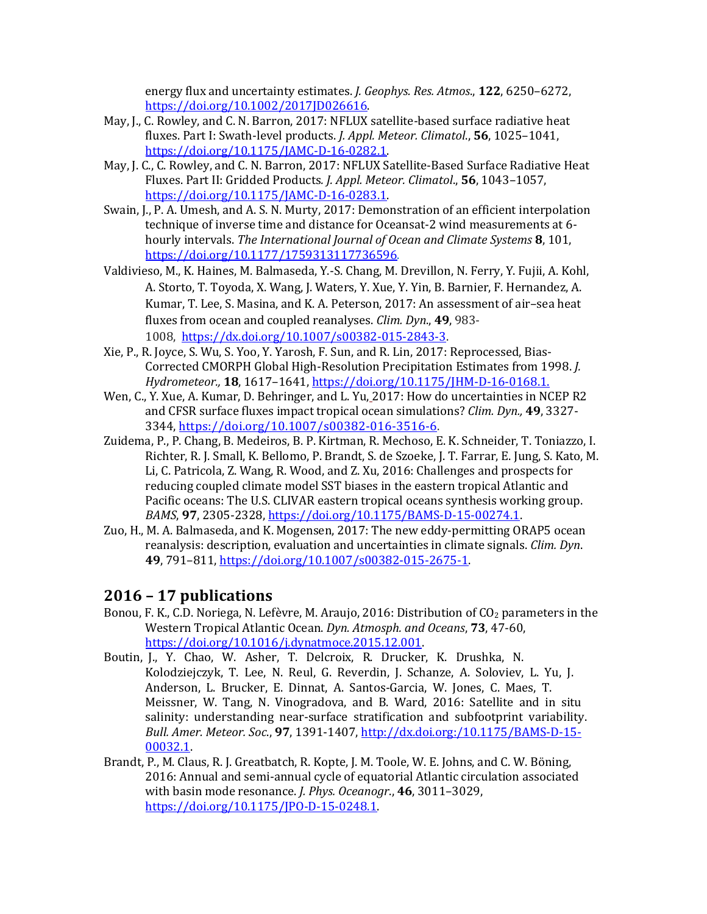energy flux and uncertainty estimates. *J. Geophys. Res. Atmos.*, **122**, 6250–6272, https://doi.org/10.1002/2017JD026616.

- May, J., C. Rowley, and C. N. Barron, 2017: NFLUX satellite-based surface radiative heat fluxes. Part I: Swath-level products. *J. Appl. Meteor. Climatol.*, **56**, 1025-1041, https://doi.org/10.1175/JAMC-D-16-0282.1.
- May, J. C., C. Rowley, and C. N. Barron, 2017: NFLUX Satellite-Based Surface Radiative Heat Fluxes. Part II: Gridded Products. *J. Appl. Meteor. Climatol.*, **56**, 1043-1057, https://doi.org/10.1175/JAMC-D-16-0283.1.
- Swain, J., P. A. Umesh, and A. S. N. Murty, 2017: Demonstration of an efficient interpolation technique of inverse time and distance for Oceansat-2 wind measurements at 6hourly intervals. *The International Journal of Ocean and Climate Systems* 8, 101, https://doi.org/10.1177/1759313117736596.
- Valdivieso, M., K. Haines, M. Balmaseda, Y.-S. Chang, M. Drevillon, N. Ferry, Y. Fujii, A. Kohl, A. Storto, T. Toyoda, X. Wang, J. Waters, Y. Xue, Y. Yin, B. Barnier, F. Hernandez, A. Kumar, T. Lee, S. Masina, and K. A. Peterson, 2017: An assessment of air-sea heat fluxes from ocean and coupled reanalyses. *Clim. Dyn.*, 49, 983-1008, https://dx.doi.org/10.1007/s00382-015-2843-3.
- Xie, P., R. Joyce, S. Wu, S. Yoo, Y. Yarosh, F. Sun, and R. Lin, 2017: Reprocessed, Bias-Corrected CMORPH Global High-Resolution Precipitation Estimates from 1998. *J. Hydrometeor.,* **18**, 1617–1641, https://doi.org/10.1175/JHM-D-16-0168.1.
- Wen, C., Y. Xue, A. Kumar, D. Behringer, and L. Yu, 2017: How do uncertainties in NCEP R2 and CFSR surface fluxes impact tropical ocean simulations? *Clim. Dyn.*, **49**, 3327-3344, https://doi.org/10.1007/s00382-016-3516-6.
- Zuidema, P., P. Chang, B. Medeiros, B. P. Kirtman, R. Mechoso, E. K. Schneider, T. Toniazzo, I. Richter, R. J. Small, K. Bellomo, P. Brandt, S. de Szoeke, J. T. Farrar, E. Jung, S. Kato, M. Li, C. Patricola, Z. Wang, R. Wood, and Z. Xu, 2016: Challenges and prospects for reducing coupled climate model SST biases in the eastern tropical Atlantic and Pacific oceans: The U.S. CLIVAR eastern tropical oceans synthesis working group. *BAMS*, **97**, 2305-2328, https://doi.org/10.1175/BAMS-D-15-00274.1.
- Zuo, H., M. A. Balmaseda, and K. Mogensen, 2017: The new eddy-permitting ORAP5 ocean reanalysis: description, evaluation and uncertainties in climate signals. *Clim. Dyn.* **49**, 791–811, https://doi.org/10.1007/s00382-015-2675-1.

#### **2016 – 17 publications**

- Bonou, F. K., C.D. Noriega, N. Lefèvre, M. Araujo, 2016: Distribution of  $CO<sub>2</sub>$  parameters in the Western Tropical Atlantic Ocean. Dyn. Atmosph. and Oceans, **73**, 47-60, https://doi.org/10.1016/j.dynatmoce.2015.12.001.
- Boutin, J., Y. Chao, W. Asher, T. Delcroix, R. Drucker, K. Drushka, N. Kolodziejczyk, T. Lee, N. Reul, G. Reverdin, J. Schanze, A. Soloviev, L. Yu, J. Anderson, L. Brucker, E. Dinnat, A. Santos-Garcia, W. Jones, C. Maes, T. Meissner, W. Tang, N. Vinogradova, and B. Ward, 2016: Satellite and in situ salinity: understanding near-surface stratification and subfootprint variability. *Bull. Amer. Meteor. Soc*., **97**, 1391-1407, http://dx.doi.org:/10.1175/BAMS-D-15- 00032.1.
- Brandt, P., M. Claus, R. J. Greatbatch, R. Kopte, J. M. Toole, W. E. Johns, and C. W. Böning, 2016: Annual and semi-annual cycle of equatorial Atlantic circulation associated with basin mode resonance. *J. Phys. Oceanogr.*, 46, 3011-3029, https://doi.org/10.1175/JPO-D-15-0248.1.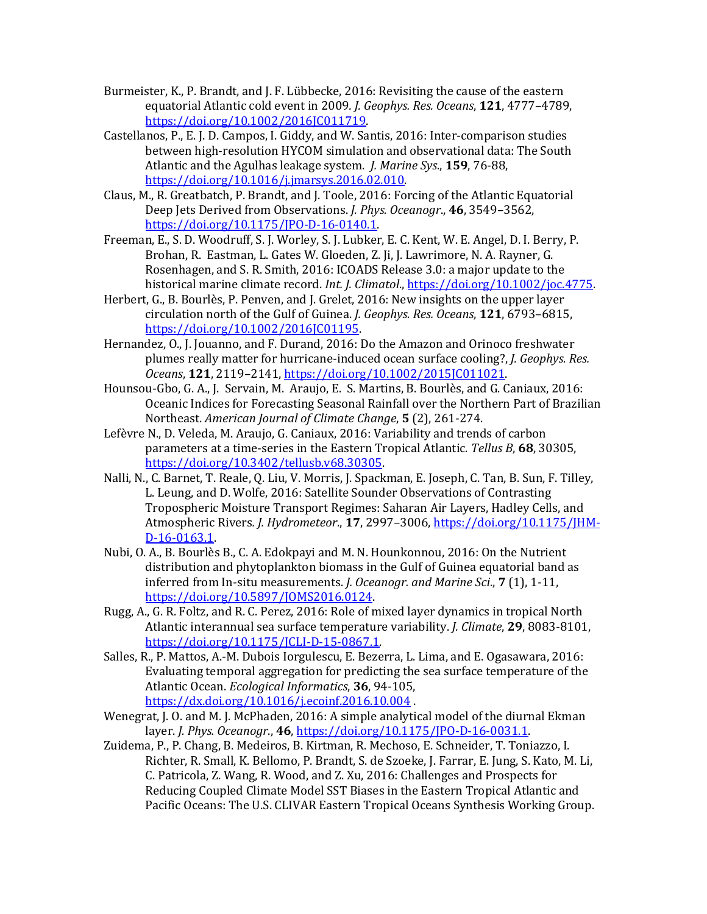- Burmeister, K., P. Brandt, and J. F. Lübbecke, 2016: Revisiting the cause of the eastern equatorial Atlantic cold event in 2009. *J. Geophys. Res. Oceans*, **121**, 4777-4789, https://doi.org/10.1002/2016JC011719.
- Castellanos, P., E. J. D. Campos, I. Giddy, and W. Santis, 2016: Inter-comparison studies between high-resolution HYCOM simulation and observational data: The South Atlantic and the Agulhas leakage system. *J. Marine Sys.*, **159**, 76-88, https://doi.org/10.1016/j.jmarsys.2016.02.010.
- Claus, M., R. Greatbatch, P. Brandt, and J. Toole, 2016: Forcing of the Atlantic Equatorial Deep Jets Derived from Observations. *J. Phys. Oceanogr.*, 46, 3549-3562, https://doi.org/10.1175/JPO-D-16-0140.1.
- Freeman, E., S. D. Woodruff, S. J. Worley, S. J. Lubker, E. C. Kent, W. E. Angel, D. I. Berry, P. Brohan, R. Eastman, L. Gates W. Gloeden, Z. Ji, J. Lawrimore, N. A. Rayner, G. Rosenhagen, and S. R. Smith, 2016: ICOADS Release 3.0: a major update to the historical marine climate record. *Int. J. Climatol.*, https://doi.org/10.1002/joc.4775.
- Herbert, G., B. Bourlès, P. Penven, and J. Grelet, 2016: New insights on the upper layer circulation north of the Gulf of Guinea. *J. Geophys. Res. Oceans*, **121**, 6793–6815, https://doi.org/10.1002/2016JC01195.
- Hernandez, O., J. Jouanno, and F. Durand, 2016: Do the Amazon and Orinoco freshwater plumes really matter for hurricane-induced ocean surface cooling?, *J. Geophys. Res. Oceans*, **121**, 2119–2141, https://doi.org/10.1002/2015JC011021.
- Hounsou-Gbo, G. A., J. Servain, M. Araujo, E. S. Martins, B. Bourlès, and G. Caniaux, 2016: Oceanic Indices for Forecasting Seasonal Rainfall over the Northern Part of Brazilian Northeast. American Journal of Climate Change, **5** (2), 261-274.
- Lefèvre N., D. Veleda, M. Araujo, G. Caniaux, 2016: Variability and trends of carbon parameters at a time-series in the Eastern Tropical Atlantic. *Tellus B*, **68**, 30305, https://doi.org/10.3402/tellusb.v68.30305.
- Nalli, N., C. Barnet, T. Reale, Q. Liu, V. Morris, J. Spackman, E. Joseph, C. Tan, B. Sun, F. Tilley, L. Leung, and D. Wolfe, 2016: Satellite Sounder Observations of Contrasting Tropospheric Moisture Transport Regimes: Saharan Air Layers, Hadley Cells, and Atmospheric Rivers. *J. Hydrometeor.*, 17, 2997-3006, https://doi.org/10.1175/JHM-D-16-0163.1.
- Nubi, O. A., B. Bourlès B., C. A. Edokpayi and M. N. Hounkonnou, 2016: On the Nutrient distribution and phytoplankton biomass in the Gulf of Guinea equatorial band as inferred from In-situ measurements. *J. Oceanogr. and Marine Sci.*, **7** (1), 1-11, https://doi.org/10.5897/JOMS2016.0124.
- Rugg, A., G. R. Foltz, and R. C. Perez, 2016: Role of mixed layer dynamics in tropical North Atlantic interannual sea surface temperature variability. *J. Climate*, **29**, 8083-8101, https://doi.org/10.1175/JCLI-D-15-0867.1.
- Salles, R., P. Mattos, A.-M. Dubois Iorgulescu, E. Bezerra, L. Lima, and E. Ogasawara, 2016: Evaluating temporal aggregation for predicting the sea surface temperature of the Atlantic Ocean. *Ecological Informatics*, **36**, 94-105, https://dx.doi.org/10.1016/j.ecoinf.2016.10.004 .
- Wenegrat, J. O. and M. J. McPhaden, 2016: A simple analytical model of the diurnal Ekman layer. *J. Phys. Oceanogr.*, **46**, https://doi.org/10.1175/JPO-D-16-0031.1.
- Zuidema, P., P. Chang, B. Medeiros, B. Kirtman, R. Mechoso, E. Schneider, T. Toniazzo, I. Richter, R. Small, K. Bellomo, P. Brandt, S. de Szoeke, J. Farrar, E. Jung, S. Kato, M. Li, C. Patricola, Z. Wang, R. Wood, and Z. Xu, 2016: Challenges and Prospects for Reducing Coupled Climate Model SST Biases in the Eastern Tropical Atlantic and Pacific Oceans: The U.S. CLIVAR Eastern Tropical Oceans Synthesis Working Group.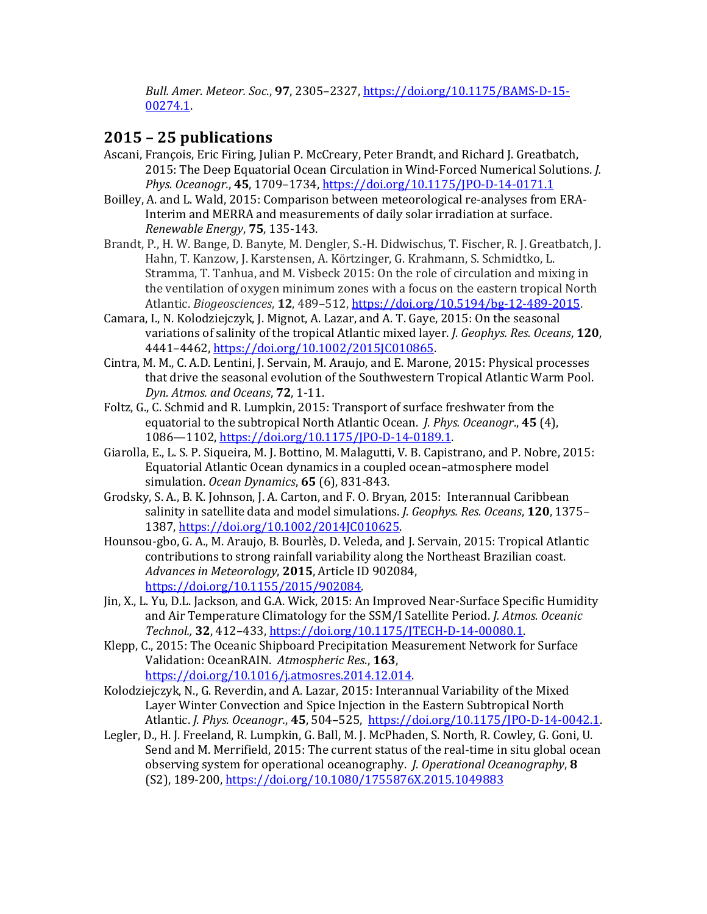*Bull. Amer. Meteor. Soc*., **97**, 2305–2327, https://doi.org/10.1175/BAMS-D-15- 00274.1.

#### **2015 – 25 publications**

- Ascani, Francois, Eric Firing, Julian P. McCreary, Peter Brandt, and Richard J. Greatbatch, 2015: The Deep Equatorial Ocean Circulation in Wind-Forced Numerical Solutions. *J. Phys. Oceanogr.*, **45**, 1709–1734, https://doi.org/10.1175/JPO-D-14-0171.1
- Boilley, A. and L. Wald, 2015: Comparison between meteorological re-analyses from ERA-Interim and MERRA and measurements of daily solar irradiation at surface. *Renewable Energy*, **75**, 135-143.
- Brandt, P., H. W. Bange, D. Banyte, M. Dengler, S.-H. Didwischus, T. Fischer, R. J. Greatbatch, J. Hahn, T. Kanzow, J. Karstensen, A. Körtzinger, G. Krahmann, S. Schmidtko, L. Stramma, T. Tanhua, and M. Visbeck 2015: On the role of circulation and mixing in the ventilation of oxygen minimum zones with a focus on the eastern tropical North Atlantic. *Biogeosciences*, **12**, 489–512, https://doi.org/10.5194/bg-12-489-2015.
- Camara, I., N. Kolodziejczyk, J. Mignot, A. Lazar, and A. T. Gaye, 2015: On the seasonal variations of salinity of the tropical Atlantic mixed layer. *J. Geophys. Res. Oceans*, **120**, 4441-4462, https://doi.org/10.1002/2015JC010865.
- Cintra, M. M., C. A.D. Lentini, J. Servain, M. Araujo, and E. Marone, 2015: Physical processes that drive the seasonal evolution of the Southwestern Tropical Atlantic Warm Pool. *Dyn. Atmos. and Oceans*, **72**, 1-11.
- Foltz, G., C. Schmid and R. Lumpkin, 2015: Transport of surface freshwater from the equatorial to the subtropical North Atlantic Ocean. *J. Phys. Oceanogr.*, **45** (4), 1086—1102, https://doi.org/10.1175/JPO-D-14-0189.1.
- Giarolla, E., L. S. P. Siqueira, M. J. Bottino, M. Malagutti, V. B. Capistrano, and P. Nobre, 2015: Equatorial Atlantic Ocean dynamics in a coupled ocean-atmosphere model simulation. *Ocean Dynamics*, **65** (6), 831-843.
- Grodsky, S. A., B. K. Johnson, J. A. Carton, and F. O. Bryan, 2015: Interannual Caribbean salinity in satellite data and model simulations. *J. Geophys. Res. Oceans*, **120**, 1375– 1387, https://doi.org/10.1002/2014JC010625.
- Hounsou-gbo, G. A., M. Araujo, B. Bourlès, D. Veleda, and J. Servain, 2015: Tropical Atlantic contributions to strong rainfall variability along the Northeast Brazilian coast. Advances in Meteorology, 2015, Article ID 902084, https://doi.org/10.1155/2015/902084.
- Jin, X., L. Yu, D.L. Jackson, and G.A. Wick, 2015: An Improved Near-Surface Specific Humidity and Air Temperature Climatology for the SSM/I Satellite Period. *J. Atmos. Oceanic Technol.,* **32**, 412–433, https://doi.org/10.1175/JTECH-D-14-00080.1.
- Klepp, C., 2015: The Oceanic Shipboard Precipitation Measurement Network for Surface Validation: OceanRAIN. *Atmospheric Res*., **163**, https://doi.org/10.1016/j.atmosres.2014.12.014.
- Kolodziejczyk, N., G. Reverdin, and A. Lazar, 2015: Interannual Variability of the Mixed Layer Winter Convection and Spice Injection in the Eastern Subtropical North Atlantic. *J. Phys. Oceanogr.*, 45, 504-525, https://doi.org/10.1175/JPO-D-14-0042.1.
- Legler, D., H. J. Freeland, R. Lumpkin, G. Ball, M. J. McPhaden, S. North, R. Cowley, G. Goni, U. Send and M. Merrifield, 2015: The current status of the real-time in situ global ocean observing system for operational oceanography. *J. Operational Oceanography*, **8** (S2), 189-200, https://doi.org/10.1080/1755876X.2015.1049883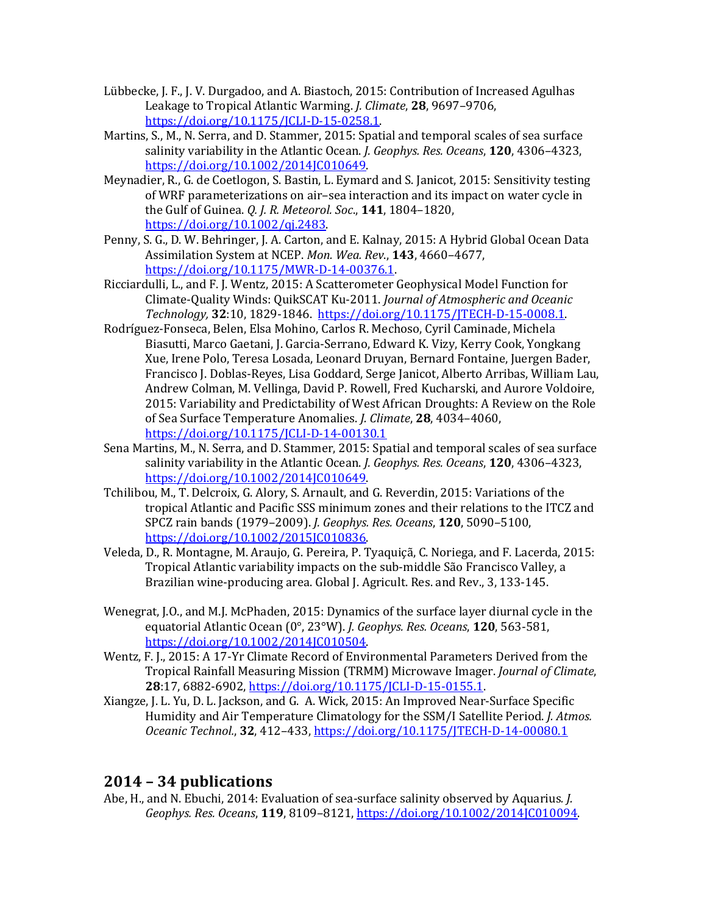- Lübbecke, J. F., J. V. Durgadoo, and A. Biastoch, 2015: Contribution of Increased Agulhas Leakage to Tropical Atlantic Warming. *J. Climate*, **28**, 9697-9706, https://doi.org/10.1175/JCLI-D-15-0258.1.
- Martins, S., M., N. Serra, and D. Stammer, 2015: Spatial and temporal scales of sea surface salinity variability in the Atlantic Ocean. *J. Geophys. Res. Oceans*, 120, 4306-4323, https://doi.org/10.1002/2014JC010649.
- Meynadier, R., G. de Coetlogon, S. Bastin, L. Eymard and S. Janicot, 2015: Sensitivity testing of WRF parameterizations on air-sea interaction and its impact on water cycle in the Gulf of Guinea. *Q. J. R. Meteorol. Soc.*, **141**, 1804-1820, https://doi.org/10.1002/qj.2483.
- Penny, S. G., D. W. Behringer, J. A. Carton, and E. Kalnay, 2015: A Hybrid Global Ocean Data Assimilation System at NCEP. Mon. Wea. Rev., 143, 4660-4677, https://doi.org/10.1175/MWR-D-14-00376.1.
- Ricciardulli, L., and F. J. Wentz, 2015: A Scatterometer Geophysical Model Function for Climate-Quality Winds: QuikSCAT Ku-2011. *Journal of Atmospheric and Oceanic Technology,* **32**:10, 1829-1846. https://doi.org/10.1175/JTECH-D-15-0008.1.
- Rodríguez-Fonseca, Belen, Elsa Mohino, Carlos R. Mechoso, Cyril Caminade, Michela Biasutti, Marco Gaetani, J. Garcia-Serrano, Edward K. Vizy, Kerry Cook, Yongkang Xue, Irene Polo, Teresa Losada, Leonard Druyan, Bernard Fontaine, Juergen Bader, Francisco J. Doblas-Reyes, Lisa Goddard, Serge Janicot, Alberto Arribas, William Lau, Andrew Colman, M. Vellinga, David P. Rowell, Fred Kucharski, and Aurore Voldoire, 2015: Variability and Predictability of West African Droughts: A Review on the Role of Sea Surface Temperature Anomalies. *J. Climate*, **28**, 4034-4060, https://doi.org/10.1175/JCLI-D-14-00130.1
- Sena Martins, M., N. Serra, and D. Stammer, 2015: Spatial and temporal scales of sea surface salinity variability in the Atlantic Ocean. *J. Geophys. Res. Oceans*, 120, 4306-4323, https://doi.org/10.1002/2014JC010649.
- Tchilibou, M., T. Delcroix, G. Alory, S. Arnault, and G. Reverdin, 2015: Variations of the tropical Atlantic and Pacific SSS minimum zones and their relations to the ITCZ and SPCZ rain bands (1979–2009). *J. Geophys. Res. Oceans*, **120**, 5090–5100, https://doi.org/10.1002/2015JC010836.
- Veleda, D., R. Montagne, M. Araujo, G. Pereira, P. Tyaquiçã, C. Noriega, and F. Lacerda, 2015: Tropical Atlantic variability impacts on the sub-middle São Francisco Valley, a Brazilian wine-producing area. Global J. Agricult. Res. and Rev., 3, 133-145.
- Wenegrat, J.O., and M.J. McPhaden, 2015: Dynamics of the surface layer diurnal cycle in the equatorial Atlantic Ocean (0°, 23°W). *J. Geophys. Res. Oceans*, **120**, 563-581, https://doi.org/10.1002/2014JC010504.
- Wentz, F. J., 2015: A 17-Yr Climate Record of Environmental Parameters Derived from the Tropical Rainfall Measuring Mission (TRMM) Microwave Imager. *Journal of Climate*, **28**:17, 6882-6902, https://doi.org/10.1175/JCLI-D-15-0155.1.
- Xiangze, J. L. Yu, D. L. Jackson, and G. A. Wick, 2015: An Improved Near-Surface Specific Humidity and Air Temperature Climatology for the SSM/I Satellite Period. *J. Atmos. Oceanic Technol.*, **32**, 412–433, https://doi.org/10.1175/JTECH-D-14-00080.1

## **2014 – 34 publications**

Abe, H., and N. Ebuchi, 2014: Evaluation of sea-surface salinity observed by Aquarius. *J. Geophys. Res. Oceans*, **119**, 8109–8121, https://doi.org/10.1002/2014JC010094.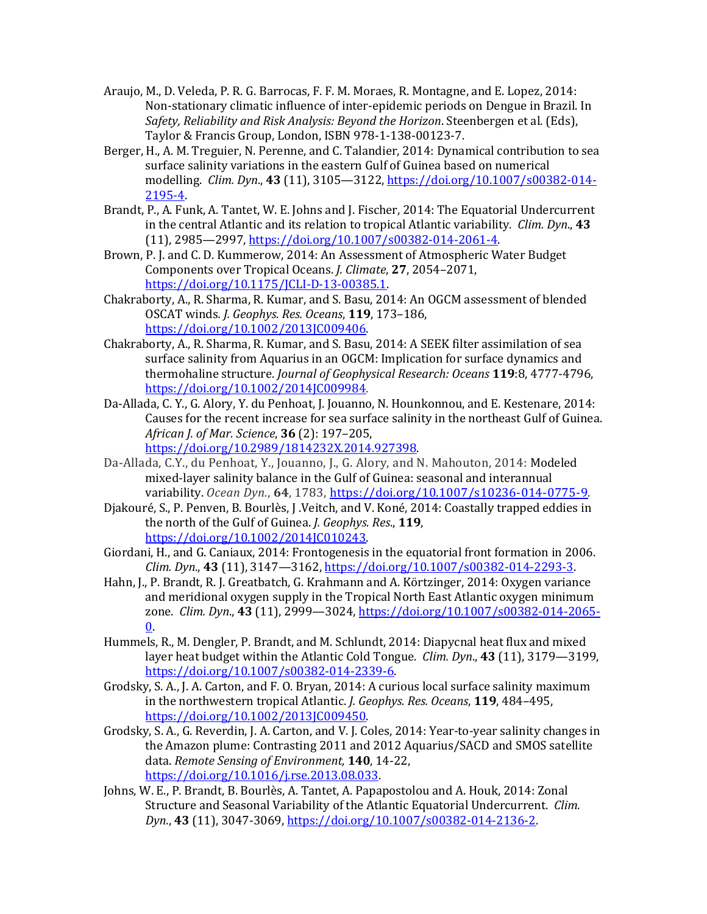- Araujo, M., D. Veleda, P. R. G. Barrocas, F. F. M. Moraes, R. Montagne, and E. Lopez, 2014: Non-stationary climatic influence of inter-epidemic periods on Dengue in Brazil. In Safety, Reliability and Risk Analysis: Beyond the Horizon. Steenbergen et al. (Eds), Taylor & Francis Group, London, ISBN 978-1-138-00123-7.
- Berger, H., A. M. Treguier, N. Perenne, and C. Talandier, 2014: Dynamical contribution to sea surface salinity variations in the eastern Gulf of Guinea based on numerical modelling. *Clim. Dyn.*, 43 (11), 3105-3122, https://doi.org/10.1007/s00382-014-2195-4.
- Brandt, P., A. Funk, A. Tantet, W. E. Johns and J. Fischer, 2014: The Equatorial Undercurrent in the central Atlantic and its relation to tropical Atlantic variability. *Clim. Dyn.*, **43** (11), 2985-2997, https://doi.org/10.1007/s00382-014-2061-4.
- Brown, P. J. and C. D. Kummerow, 2014: An Assessment of Atmospheric Water Budget Components over Tropical Oceans. *J. Climate*, **27**, 2054–2071, https://doi.org/10.1175/JCLI-D-13-00385.1.
- Chakraborty, A., R. Sharma, R. Kumar, and S. Basu, 2014: An OGCM assessment of blended OSCAT winds*. J. Geophys. Res. Oceans*, **119**, 173–186, https://doi.org/10.1002/2013JC009406.
- Chakraborty, A., R. Sharma, R. Kumar, and S. Basu, 2014: A SEEK filter assimilation of sea surface salinity from Aquarius in an OGCM: Implication for surface dynamics and thermohaline structure. *Journal of Geophysical Research: Oceans* **119**:8, 4777-4796, https://doi.org/10.1002/2014JC009984.
- Da-Allada, C. Y., G. Alory, Y. du Penhoat, J. Jouanno, N. Hounkonnou, and E. Kestenare, 2014: Causes for the recent increase for sea surface salinity in the northeast Gulf of Guinea. *African J. of Mar. Science*, **36** (2): 197–205, https://doi.org/10.2989/1814232X.2014.927398.
- Da-Allada, C.Y., du Penhoat, Y., Jouanno, J., G. Alory, and N. Mahouton, 2014: Modeled mixed-layer salinity balance in the Gulf of Guinea: seasonal and interannual variability. *Ocean Dyn.*, **64**, 1783, https://doi.org/10.1007/s10236-014-0775-9.
- Djakouré, S., P. Penven, B. Bourlès, J. Veitch, and V. Koné, 2014: Coastally trapped eddies in the north of the Gulf of Guinea. *J. Geophys. Res.*, 119, https://doi.org/10.1002/2014JC010243.
- Giordani, H., and G. Caniaux, 2014: Frontogenesis in the equatorial front formation in 2006. *Clim. Dyn*., **43** (11), 3147—3162, https://doi.org/10.1007/s00382-014-2293-3.
- Hahn, J., P. Brandt, R. J. Greatbatch, G. Krahmann and A. Körtzinger, 2014: Oxygen variance and meridional oxygen supply in the Tropical North East Atlantic oxygen minimum zone. *Clim. Dyn*., **43** (11), 2999—3024, https://doi.org/10.1007/s00382-014-2065- 0.
- Hummels, R., M. Dengler, P. Brandt, and M. Schlundt, 2014: Diapycnal heat flux and mixed layer heat budget within the Atlantic Cold Tongue. *Clim. Dyn.*, **43** (11), 3179—3199, https://doi.org/10.1007/s00382-014-2339-6.
- Grodsky, S. A., J. A. Carton, and F. O. Bryan, 2014: A curious local surface salinity maximum in the northwestern tropical Atlantic. *J. Geophys. Res. Oceans*, 119, 484-495, https://doi.org/10.1002/2013JC009450.
- Grodsky, S. A., G. Reverdin, J. A. Carton, and V. J. Coles, 2014: Year-to-year salinity changes in the Amazon plume: Contrasting 2011 and 2012 Aquarius/SACD and SMOS satellite data. *Remote Sensing of Environment*, **140**, 14-22, https://doi.org/10.1016/j.rse.2013.08.033.
- Johns, W. E., P. Brandt, B. Bourlès, A. Tantet, A. Papapostolou and A. Houk, 2014: Zonal Structure and Seasonal Variability of the Atlantic Equatorial Undercurrent. *Clim. Dyn*., **43** (11), 3047-3069, https://doi.org/10.1007/s00382-014-2136-2.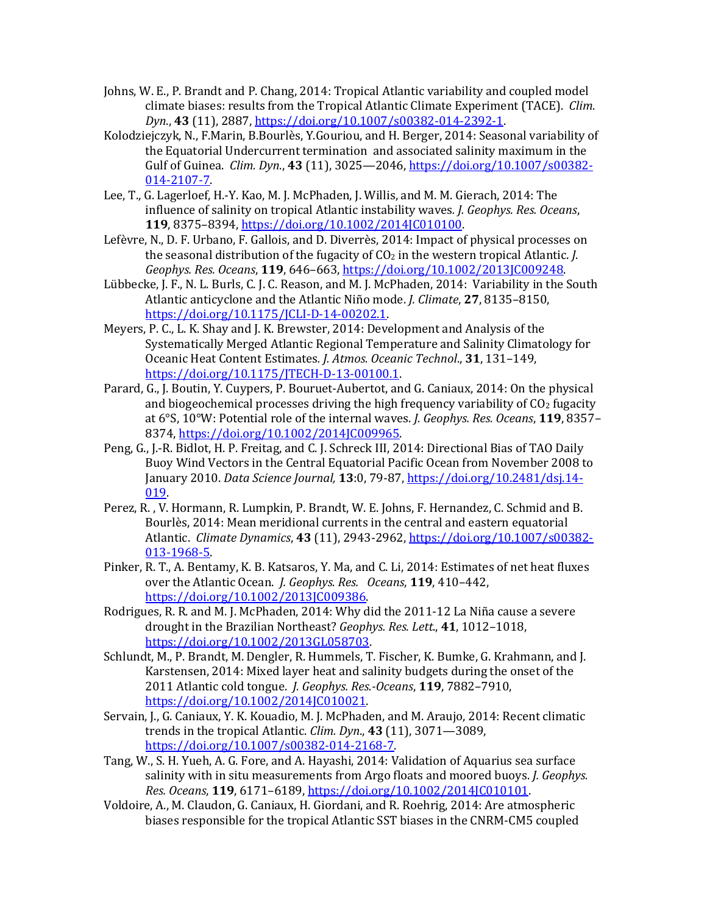- Johns, W. E., P. Brandt and P. Chang, 2014: Tropical Atlantic variability and coupled model climate biases: results from the Tropical Atlantic Climate Experiment (TACE). *Clim. Dyn*., **43** (11), 2887, https://doi.org/10.1007/s00382-014-2392-1.
- Kolodziejczyk, N., F.Marin, B.Bourlès, Y.Gouriou, and H. Berger, 2014: Seasonal variability of the Equatorial Undercurrent termination and associated salinity maximum in the Gulf of Guinea. *Clim. Dyn.*, 43 (11), 3025—2046, https://doi.org/10.1007/s00382-014-2107-7.
- Lee, T., G. Lagerloef, H.-Y. Kao, M. J. McPhaden, J. Willis, and M. M. Gierach, 2014: The influence of salinity on tropical Atlantic instability waves. *J. Geophys. Res. Oceans*, **119**, 8375–8394, https://doi.org/10.1002/2014JC010100.
- Lefèvre, N., D. F. Urbano, F. Gallois, and D. Diverrès, 2014: Impact of physical processes on the seasonal distribution of the fugacity of  $CO<sub>2</sub>$  in the western tropical Atlantic. *J. Geophys. Res. Oceans*, **119**, 646–663, https://doi.org/10.1002/2013JC009248.
- Lübbecke, J. F., N. L. Burls, C. J. C. Reason, and M. J. McPhaden, 2014: Variability in the South Atlantic anticyclone and the Atlantic Niño mode. *J. Climate*, 27, 8135-8150, https://doi.org/10.1175/JCLI-D-14-00202.1.
- Meyers, P. C., L. K. Shay and J. K. Brewster, 2014: Development and Analysis of the Systematically Merged Atlantic Regional Temperature and Salinity Climatology for Oceanic Heat Content Estimates*. J. Atmos. Oceanic Technol*., **31**, 131–149, https://doi.org/10.1175/JTECH-D-13-00100.1.
- Parard, G., J. Boutin, Y. Cuypers, P. Bouruet-Aubertot, and G. Caniaux, 2014: On the physical and biogeochemical processes driving the high frequency variability of  $CO<sub>2</sub>$  fugacity at 6°S, 10°W: Potential role of the internal waves. *J. Geophys. Res. Oceans*, 119, 8357-8374, https://doi.org/10.1002/2014JC009965.
- Peng, G., J.-R. Bidlot, H. P. Freitag, and C. J. Schreck III, 2014: Directional Bias of TAO Daily Buoy Wind Vectors in the Central Equatorial Pacific Ocean from November 2008 to January 2010. *Data Science Journal,* **13**:0, 79-87, https://doi.org/10.2481/dsj.14- 019.
- Perez, R., V. Hormann, R. Lumpkin, P. Brandt, W. E. Johns, F. Hernandez, C. Schmid and B. Bourlès, 2014: Mean meridional currents in the central and eastern equatorial Atlantic. *Climate Dynamics*, **43** (11), 2943-2962, https://doi.org/10.1007/s00382- 013-1968-5.
- Pinker, R. T., A. Bentamy, K. B. Katsaros, Y. Ma, and C. Li, 2014: Estimates of net heat fluxes over the Atlantic Ocean. *J. Geophys. Res. Oceans*, **119**, 410-442, https://doi.org/10.1002/2013JC009386.
- Rodrigues, R. R. and M. J. McPhaden, 2014: Why did the 2011-12 La Niña cause a severe drought in the Brazilian Northeast? *Geophys. Res. Lett.*, 41, 1012–1018, https://doi.org/10.1002/2013GL058703.
- Schlundt, M., P. Brandt, M. Dengler, R. Hummels, T. Fischer, K. Bumke, G. Krahmann, and J. Karstensen, 2014: Mixed layer heat and salinity budgets during the onset of the 2011 Atlantic cold tongue. *J. Geophys. Res.-Oceans*, **119**, 7882–7910, https://doi.org/10.1002/2014JC010021.
- Servain, J., G. Caniaux, Y. K. Kouadio, M. J. McPhaden, and M. Araujo, 2014: Recent climatic trends in the tropical Atlantic. *Clim.* Dyn.,  $43$  (11),  $3071-3089$ , https://doi.org/10.1007/s00382-014-2168-7.
- Tang, W., S. H. Yueh, A. G. Fore, and A. Hayashi, 2014: Validation of Aquarius sea surface salinity with in situ measurements from Argo floats and moored buoys. *J. Geophys. Res. Oceans*, **119**, 6171–6189, https://doi.org/10.1002/2014JC010101.
- Voldoire, A., M. Claudon, G. Caniaux, H. Giordani, and R. Roehrig, 2014: Are atmospheric biases responsible for the tropical Atlantic SST biases in the CNRM-CM5 coupled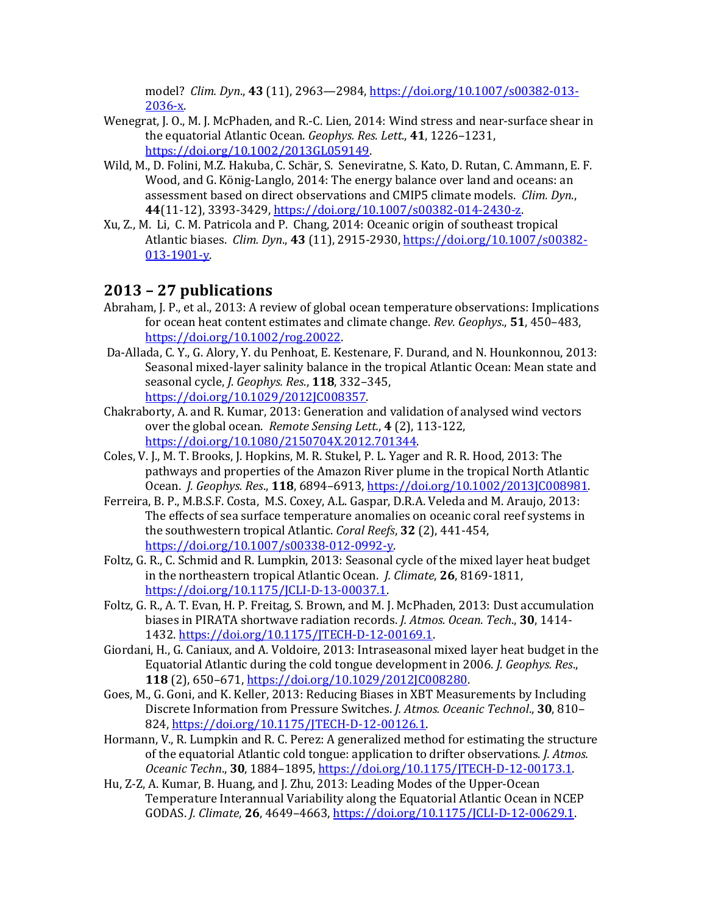model? *Clim. Dyn*., **43** (11), 2963—2984, https://doi.org/10.1007/s00382-013- 2036-x.

- Wenegrat, J. O., M. J. McPhaden, and R.-C. Lien, 2014: Wind stress and near-surface shear in the equatorial Atlantic Ocean. *Geophys. Res. Lett.*, 41, 1226-1231, https://doi.org/10.1002/2013GL059149.
- Wild, M., D. Folini, M.Z. Hakuba, C. Schär, S. Seneviratne, S. Kato, D. Rutan, C. Ammann, E. F. Wood, and G. König-Langlo, 2014: The energy balance over land and oceans: an assessment based on direct observations and CMIP5 climate models. *Clim. Dyn.*, **44**(11-12), 3393-3429, https://doi.org/10.1007/s00382-014-2430-z.
- Xu, Z., M. Li, C. M. Patricola and P. Chang, 2014: Oceanic origin of southeast tropical Atlantic biases. *Clim. Dyn.*, 43 (11), 2915-2930, https://doi.org/10.1007/s00382-013-1901-y.

## **2013 – 27 publications**

- Abraham, I. P., et al., 2013: A review of global ocean temperature observations: Implications for ocean heat content estimates and climate change. *Rev. Geophys.*, **51**, 450–483, https://doi.org/10.1002/rog.20022.
- Da-Allada, C. Y., G. Alory, Y. du Penhoat, E. Kestenare, F. Durand, and N. Hounkonnou, 2013: Seasonal mixed-layer salinity balance in the tropical Atlantic Ocean: Mean state and seasonal cycle, *J. Geophys. Res*., **118**, 332–345, https://doi.org/10.1029/2012JC008357.
- Chakraborty, A. and R. Kumar, 2013: Generation and validation of analysed wind vectors over the global ocean. *Remote Sensing Lett.*, 4 (2), 113-122, https://doi.org/10.1080/2150704X.2012.701344.
- Coles, V. J., M. T. Brooks, J. Hopkins, M. R. Stukel, P. L. Yager and R. R. Hood, 2013: The pathways and properties of the Amazon River plume in the tropical North Atlantic Ocean. *J. Geophys. Res.*, **118**, 6894-6913, https://doi.org/10.1002/2013JC008981.
- Ferreira, B. P., M.B.S.F. Costa, M.S. Coxey, A.L. Gaspar, D.R.A. Veleda and M. Araujo, 2013: The effects of sea surface temperature anomalies on oceanic coral reef systems in the southwestern tropical Atlantic. *Coral Reefs*, 32 (2), 441-454, https://doi.org/10.1007/s00338-012-0992-y.
- Foltz, G. R., C. Schmid and R. Lumpkin, 2013: Seasonal cycle of the mixed layer heat budget in the northeastern tropical Atlantic Ocean. *J. Climate*, **26**, 8169-1811, https://doi.org/10.1175/JCLI-D-13-00037.1.
- Foltz, G. R., A. T. Evan, H. P. Freitag, S. Brown, and M. J. McPhaden, 2013: Dust accumulation biases in PIRATA shortwave radiation records. *J. Atmos. Ocean. Tech.*, **30**, 1414-1432. https://doi.org/10.1175/JTECH-D-12-00169.1.
- Giordani, H., G. Caniaux, and A. Voldoire, 2013: Intraseasonal mixed layer heat budget in the Equatorial Atlantic during the cold tongue development in 2006. *J. Geophys. Res.*, **118** (2), 650–671, https://doi.org/10.1029/2012JC008280.
- Goes, M., G. Goni, and K. Keller, 2013: Reducing Biases in XBT Measurements by Including Discrete Information from Pressure Switches. *J. Atmos. Oceanic Technol.*, **30**, 810– 824, https://doi.org/10.1175/JTECH-D-12-00126.1.
- Hormann, V., R. Lumpkin and R. C. Perez: A generalized method for estimating the structure of the equatorial Atlantic cold tongue: application to drifter observations. *J. Atmos. Oceanic Techn*., **30**, 1884–1895, https://doi.org/10.1175/JTECH-D-12-00173.1.
- Hu, Z-Z, A. Kumar, B. Huang, and J. Zhu, 2013: Leading Modes of the Upper-Ocean Temperature Interannual Variability along the Equatorial Atlantic Ocean in NCEP GODAS. *J. Climate*, 26, 4649-4663, https://doi.org/10.1175/JCLI-D-12-00629.1.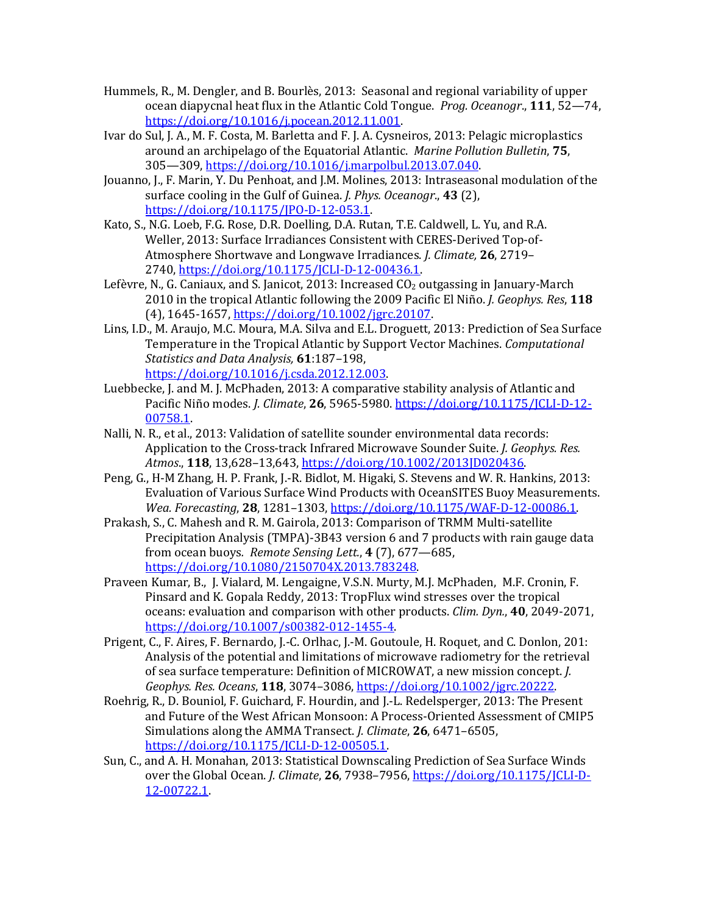- Hummels, R., M. Dengler, and B. Bourlès, 2013: Seasonal and regional variability of upper ocean diapycnal heat flux in the Atlantic Cold Tongue. *Prog. Oceanogr.*, **111**, 52—74, https://doi.org/10.1016/j.pocean.2012.11.001.
- Ivar do Sul, J. A., M. F. Costa, M. Barletta and F. J. A. Cysneiros, 2013: Pelagic microplastics around an archipelago of the Equatorial Atlantic. Marine Pollution Bulletin, **75**, 305-309, https://doi.org/10.1016/j.marpolbul.2013.07.040.
- Jouanno, J., F. Marin, Y. Du Penhoat, and J.M. Molines, 2013: Intraseasonal modulation of the surface cooling in the Gulf of Guinea. *J. Phys. Oceanogr.*, **43** (2), https://doi.org/10.1175/JPO-D-12-053.1.
- Kato, S., N.G. Loeb, F.G. Rose, D.R. Doelling, D.A. Rutan, T.E. Caldwell, L. Yu, and R.A. Weller, 2013: Surface Irradiances Consistent with CERES-Derived Top-of-Atmosphere Shortwave and Longwave Irradiances. *J. Climate,* **26**, 2719– 2740, https://doi.org/10.1175/JCLI-D-12-00436.1.
- Lefèvre, N., G. Caniaux, and S. Janicot, 2013: Increased  $CO<sub>2</sub>$  outgassing in January-March 2010 in the tropical Atlantic following the 2009 Pacific El Niño. *J. Geophys. Res*, 118 (4), 1645-1657, https://doi.org/10.1002/jgrc.20107.
- Lins, I.D., M. Araujo, M.C. Moura, M.A. Silva and E.L. Droguett, 2013: Prediction of Sea Surface Temperature in the Tropical Atlantic by Support Vector Machines. *Computational Statistics and Data Analysis,* **61**:187–198, https://doi.org/10.1016/j.csda.2012.12.003.
- Luebbecke, J. and M. J. McPhaden, 2013: A comparative stability analysis of Atlantic and Pacific Niño modes. *J. Climate*, **26**, 5965-5980. https://doi.org/10.1175/JCLI-D-12-00758.1.
- Nalli, N. R., et al., 2013: Validation of satellite sounder environmental data records: Application to the Cross-track Infrared Microwave Sounder Suite. *J. Geophys. Res.* Atmos., 118, 13,628-13,643, https://doi.org/10.1002/2013JD020436.
- Peng, G., H-M Zhang, H. P. Frank, J.-R. Bidlot, M. Higaki, S. Stevens and W. R. Hankins, 2013: Evaluation of Various Surface Wind Products with OceanSITES Buoy Measurements. *Wea. Forecasting*, **28**, 1281-1303, https://doi.org/10.1175/WAF-D-12-00086.1.
- Prakash, S., C. Mahesh and R. M. Gairola, 2013: Comparison of TRMM Multi-satellite Precipitation Analysis (TMPA)-3B43 version 6 and 7 products with rain gauge data from ocean buoys. Remote Sensing Lett., 4 (7), 677–685, https://doi.org/10.1080/2150704X.2013.783248.
- Praveen Kumar, B., J. Vialard, M. Lengaigne, V.S.N. Murty, M.J. McPhaden, M.F. Cronin, F. Pinsard and K. Gopala Reddy, 2013: TropFlux wind stresses over the tropical oceans: evaluation and comparison with other products. *Clim. Dyn.*, **40**, 2049-2071, https://doi.org/10.1007/s00382-012-1455-4.
- Prigent, C., F. Aires, F. Bernardo, J.-C. Orlhac, J.-M. Goutoule, H. Roquet, and C. Donlon, 201: Analysis of the potential and limitations of microwave radiometry for the retrieval of sea surface temperature: Definition of MICROWAT, a new mission concept. *J. Geophys. Res. Oceans*, **118**, 3074–3086, https://doi.org/10.1002/jgrc.20222.
- Roehrig, R., D. Bouniol, F. Guichard, F. Hourdin, and J.-L. Redelsperger, 2013: The Present and Future of the West African Monsoon: A Process-Oriented Assessment of CMIP5 Simulations along the AMMA Transect. *J. Climate*, **26**, 6471–6505, https://doi.org/10.1175/JCLI-D-12-00505.1.
- Sun, C., and A. H. Monahan, 2013: Statistical Downscaling Prediction of Sea Surface Winds over the Global Ocean. *J. Climate*, **26**, 7938–7956, https://doi.org/10.1175/JCLI-D-12-00722.1.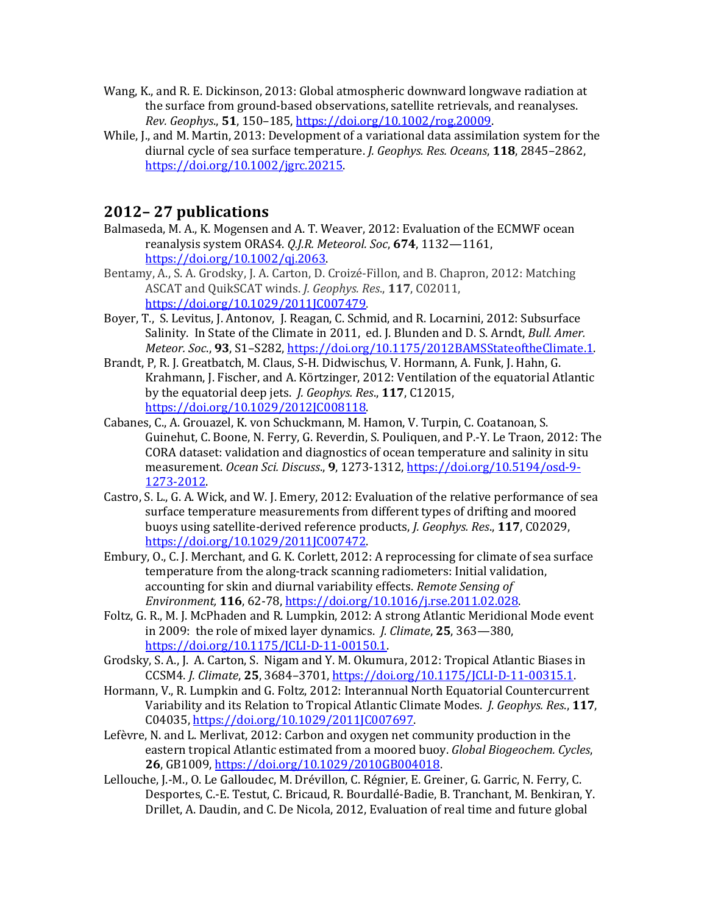- Wang, K., and R. E. Dickinson, 2013: Global atmospheric downward longwave radiation at the surface from ground-based observations, satellite retrievals, and reanalyses. *Rev. Geophys*., **51**, 150–185, https://doi.org/10.1002/rog.20009.
- While, J., and M. Martin, 2013: Development of a variational data assimilation system for the diurnal cycle of sea surface temperature. *J. Geophys. Res. Oceans*, **118**, 2845-2862, https://doi.org/10.1002/jgrc.20215.

## **2012– 27 publications**

- Balmaseda, M. A., K. Mogensen and A. T. Weaver, 2012: Evaluation of the ECMWF ocean reanalysis system ORAS4. *Q.J.R. Meteorol. Soc*, 674, 1132–1161, https://doi.org/10.1002/qj.2063.
- Bentamy, A., S. A. Grodsky, J. A. Carton, D. Croizé-Fillon, and B. Chapron, 2012: Matching ASCAT and QuikSCAT winds. *J. Geophys. Res*., **117**, C02011, https://doi.org/10.1029/2011JC007479.
- Boyer, T., S. Levitus, J. Antonov, J. Reagan, C. Schmid, and R. Locarnini, 2012: Subsurface Salinity. In State of the Climate in 2011, ed. J. Blunden and D. S. Arndt, *Bull. Amer. Meteor.* Soc., 93, S1-S282, https://doi.org/10.1175/2012BAMSStateoftheClimate.1.
- Brandt, P, R. J. Greatbatch, M. Claus, S-H. Didwischus, V. Hormann, A. Funk, J. Hahn, G. Krahmann, J. Fischer, and A. Körtzinger, 2012: Ventilation of the equatorial Atlantic by the equatorial deep jets. *J. Geophys. Res.*, 117, C12015, https://doi.org/10.1029/2012JC008118.
- Cabanes, C., A. Grouazel, K. von Schuckmann, M. Hamon, V. Turpin, C. Coatanoan, S. Guinehut, C. Boone, N. Ferry, G. Reverdin, S. Pouliquen, and P.-Y. Le Traon, 2012: The CORA dataset: validation and diagnostics of ocean temperature and salinity in situ measurement. *Ocean Sci. Discuss*., **9**, 1273-1312, https://doi.org/10.5194/osd-9- 1273-2012.
- Castro, S. L., G. A. Wick, and W. J. Emery, 2012: Evaluation of the relative performance of sea surface temperature measurements from different types of drifting and moored buoys using satellite-derived reference products, *J. Geophys. Res.*, 117, C02029, https://doi.org/10.1029/2011JC007472.
- Embury, O., C. J. Merchant, and G. K. Corlett, 2012: A reprocessing for climate of sea surface temperature from the along-track scanning radiometers: Initial validation, accounting for skin and diurnal variability effects. *Remote Sensing of Environment,* **116**, 62-78, https://doi.org/10.1016/j.rse.2011.02.028.
- Foltz, G. R., M. J. McPhaden and R. Lumpkin, 2012: A strong Atlantic Meridional Mode event in 2009: the role of mixed layer dynamics. *J. Climate*, **25**, 363–380, https://doi.org/10.1175/JCLI-D-11-00150.1.
- Grodsky, S. A., J. A. Carton, S. Nigam and Y. M. Okumura, 2012: Tropical Atlantic Biases in CCSM4. *J. Climate*, **25**, 3684–3701, https://doi.org/10.1175/JCLI-D-11-00315.1.
- Hormann, V., R. Lumpkin and G. Foltz, 2012: Interannual North Equatorial Countercurrent Variability and its Relation to Tropical Atlantic Climate Modes. *J. Geophys. Res.*, 117, C04035, https://doi.org/10.1029/2011JC007697.
- Lefèvre, N. and L. Merlivat, 2012: Carbon and oxygen net community production in the eastern tropical Atlantic estimated from a moored buoy. *Global Biogeochem. Cycles*, **26**, GB1009, https://doi.org/10.1029/2010GB004018.
- Lellouche, J.-M., O. Le Galloudec, M. Drévillon, C. Régnier, E. Greiner, G. Garric, N. Ferry, C. Desportes, C.-E. Testut, C. Bricaud, R. Bourdallé-Badie, B. Tranchant, M. Benkiran, Y. Drillet, A. Daudin, and C. De Nicola, 2012, Evaluation of real time and future global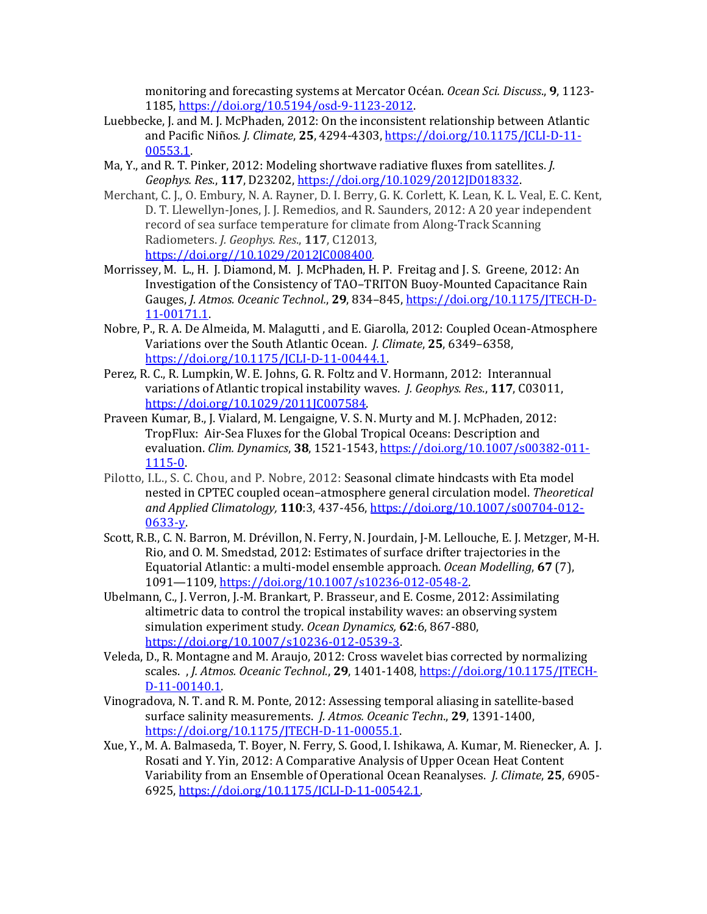monitoring and forecasting systems at Mercator Océan. *Ocean Sci. Discuss.*, 9, 1123-1185, https://doi.org/10.5194/osd-9-1123-2012.

- Luebbecke, J. and M. J. McPhaden, 2012: On the inconsistent relationship between Atlantic and Pacific Niños. *J. Climate*, 25, 4294-4303, https://doi.org/10.1175/JCLI-D-11-00553.1.
- Ma, Y., and R. T. Pinker, 2012: Modeling shortwave radiative fluxes from satellites. *J. Geophys. Res*., **117**, D23202, https://doi.org/10.1029/2012JD018332.
- Merchant, C. J., O. Embury, N. A. Rayner, D. I. Berry, G. K. Corlett, K. Lean, K. L. Veal, E. C. Kent, D. T. Llewellyn-Jones, J. J. Remedios, and R. Saunders, 2012: A 20 year independent record of sea surface temperature for climate from Along-Track Scanning Radiometers. *J. Geophys. Res*., **117**, C12013, https://doi.org//10.1029/2012JC008400.
- Morrissey, M. L., H. J. Diamond, M. J. McPhaden, H. P. Freitag and J. S. Greene, 2012: An Investigation of the Consistency of TAO–TRITON Buoy-Mounted Capacitance Rain Gauges, *J. Atmos. Oceanic Technol.*, 29, 834-845, https://doi.org/10.1175/JTECH-D-11-00171.1.
- Nobre, P., R. A. De Almeida, M. Malagutti, and E. Giarolla, 2012: Coupled Ocean-Atmosphere Variations over the South Atlantic Ocean. *J. Climate*, **25**, 6349-6358, https://doi.org/10.1175/JCLI-D-11-00444.1.
- Perez, R. C., R. Lumpkin, W. E. Johns, G. R. Foltz and V. Hormann, 2012: Interannual variations of Atlantic tropical instability waves. *J. Geophys. Res.*, 117, C03011, https://doi.org/10.1029/2011JC007584.
- Praveen Kumar, B., J. Vialard, M. Lengaigne, V. S. N. Murty and M. J. McPhaden, 2012: TropFlux: Air-Sea Fluxes for the Global Tropical Oceans: Description and evaluation. *Clim. Dynamics*, 38, 1521-1543, https://doi.org/10.1007/s00382-011-1115-0.
- Pilotto, I.L., S. C. Chou, and P. Nobre, 2012: Seasonal climate hindcasts with Eta model nested in CPTEC coupled ocean-atmosphere general circulation model. *Theoretical and Applied Climatology,* **110**:3, 437-456, https://doi.org/10.1007/s00704-012- 0633-y.
- Scott, R.B., C. N. Barron, M. Drévillon, N. Ferry, N. Jourdain, J-M. Lellouche, E. J. Metzger, M-H. Rio, and O. M. Smedstad, 2012: Estimates of surface drifter trajectories in the Equatorial Atlantic: a multi-model ensemble approach. *Ocean Modelling*, **67** (7), 1091—1109, https://doi.org/10.1007/s10236-012-0548-2.
- Ubelmann, C., J. Verron, J.-M. Brankart, P. Brasseur, and E. Cosme, 2012: Assimilating altimetric data to control the tropical instability waves: an observing system simulation experiment study. Ocean Dynamics, 62:6, 867-880, https://doi.org/10.1007/s10236-012-0539-3.
- Veleda, D., R. Montagne and M. Araujo, 2012: Cross wavelet bias corrected by normalizing scales. , *J. Atmos. Oceanic Technol.*, **29**, 1401-1408, https://doi.org/10.1175/JTECH-D-11-00140.1.
- Vinogradova, N. T. and R. M. Ponte, 2012: Assessing temporal aliasing in satellite-based surface salinity measurements. *J. Atmos. Oceanic Techn.*, **29**, 1391-1400, https://doi.org/10.1175/JTECH-D-11-00055.1.
- Xue, Y., M. A. Balmaseda, T. Boyer, N. Ferry, S. Good, I. Ishikawa, A. Kumar, M. Rienecker, A. J. Rosati and Y. Yin, 2012: A Comparative Analysis of Upper Ocean Heat Content Variability from an Ensemble of Operational Ocean Reanalyses. *J. Climate*, 25, 6905-6925, https://doi.org/10.1175/JCLI-D-11-00542.1.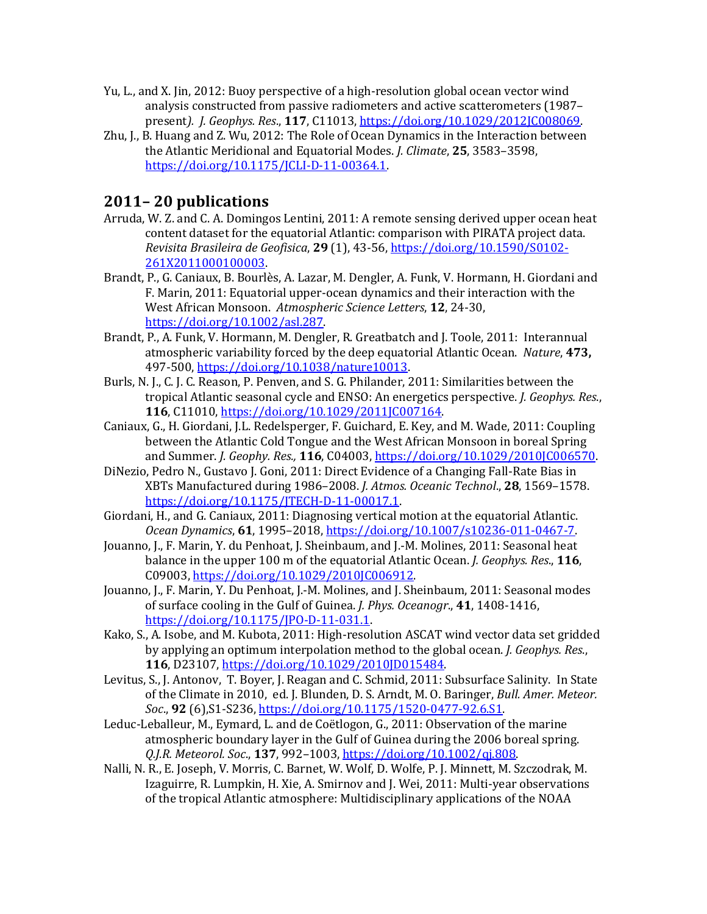- Yu, L., and X. Jin, 2012: Buoy perspective of a high-resolution global ocean vector wind analysis constructed from passive radiometers and active scatterometers (1987– present*). J. Geophys. Res*., **117**, C11013, https://doi.org/10.1029/2012JC008069.
- Zhu, J., B. Huang and Z. Wu, 2012: The Role of Ocean Dynamics in the Interaction between the Atlantic Meridional and Equatorial Modes. *J. Climate*, **25**, 3583–3598, https://doi.org/10.1175/JCLI-D-11-00364.1.

## **2011– 20 publications**

- Arruda, W. Z. and C. A. Domingos Lentini, 2011: A remote sensing derived upper ocean heat content dataset for the equatorial Atlantic: comparison with PIRATA project data. *Revisita Brasileira de Geofisica*, **29** (1), 43-56, https://doi.org/10.1590/S0102- 261X2011000100003.
- Brandt, P., G. Caniaux, B. Bourlès, A. Lazar, M. Dengler, A. Funk, V. Hormann, H. Giordani and F. Marin, 2011: Equatorial upper-ocean dynamics and their interaction with the West African Monsoon. Atmospheric Science Letters, 12, 24-30, https://doi.org/10.1002/asl.287.
- Brandt, P., A. Funk, V. Hormann, M. Dengler, R. Greatbatch and J. Toole, 2011: Interannual atmospheric variability forced by the deep equatorial Atlantic Ocean. *Nature*, 473, 497-500, https://doi.org/10.1038/nature10013.
- Burls, N. J., C. J. C. Reason, P. Penven, and S. G. Philander, 2011: Similarities between the tropical Atlantic seasonal cycle and ENSO: An energetics perspective. *J. Geophys. Res.*, **116**, C11010, https://doi.org/10.1029/2011JC007164.
- Caniaux, G., H. Giordani, J.L. Redelsperger, F. Guichard, E. Key, and M. Wade, 2011: Coupling between the Atlantic Cold Tongue and the West African Monsoon in boreal Spring and Summer. *J. Geophy. Res.*, **116**, C04003, https://doi.org/10.1029/2010JC006570.
- DiNezio, Pedro N., Gustavo J. Goni, 2011: Direct Evidence of a Changing Fall-Rate Bias in XBTs Manufactured during 1986-2008. *J. Atmos. Oceanic Technol.*, **28**, 1569-1578. https://doi.org/10.1175/JTECH-D-11-00017.1.
- Giordani, H., and G. Caniaux, 2011: Diagnosing vertical motion at the equatorial Atlantic. *Ocean Dynamics*, **61**, 1995–2018, https://doi.org/10.1007/s10236-011-0467-7.
- Jouanno, J., F. Marin, Y. du Penhoat, J. Sheinbaum, and J.-M. Molines, 2011: Seasonal heat balance in the upper 100 m of the equatorial Atlantic Ocean. *J. Geophys. Res.*, **116**, C09003, https://doi.org/10.1029/2010JC006912.
- Jouanno, J., F. Marin, Y. Du Penhoat, J.-M. Molines, and J. Sheinbaum, 2011: Seasonal modes of surface cooling in the Gulf of Guinea. *J. Phys. Oceanogr.*, **41**, 1408-1416, https://doi.org/10.1175/JPO-D-11-031.1.
- Kako, S., A. Isobe, and M. Kubota, 2011: High-resolution ASCAT wind vector data set gridded by applying an optimum interpolation method to the global ocean. *J. Geophys. Res.*, **116**, D23107, https://doi.org/10.1029/2010JD015484.
- Levitus, S., J. Antonov, T. Boyer, J. Reagan and C. Schmid, 2011: Subsurface Salinity. In State of the Climate in 2010, ed. J. Blunden, D. S. Arndt, M. O. Baringer, *Bull. Amer. Meteor. Soc*., **92** (6),S1-S236, https://doi.org/10.1175/1520-0477-92.6.S1.
- Leduc-Leballeur, M., Eymard, L. and de Coëtlogon, G., 2011: Observation of the marine atmospheric boundary layer in the Gulf of Guinea during the 2006 boreal spring. *Q.J.R. Meteorol. Soc*., **137**, 992–1003, https://doi.org/10.1002/qj.808.
- Nalli, N. R., E. Joseph, V. Morris, C. Barnet, W. Wolf, D. Wolfe, P. J. Minnett, M. Szczodrak, M. Izaguirre, R. Lumpkin, H. Xie, A. Smirnov and J. Wei, 2011: Multi-year observations of the tropical Atlantic atmosphere: Multidisciplinary applications of the NOAA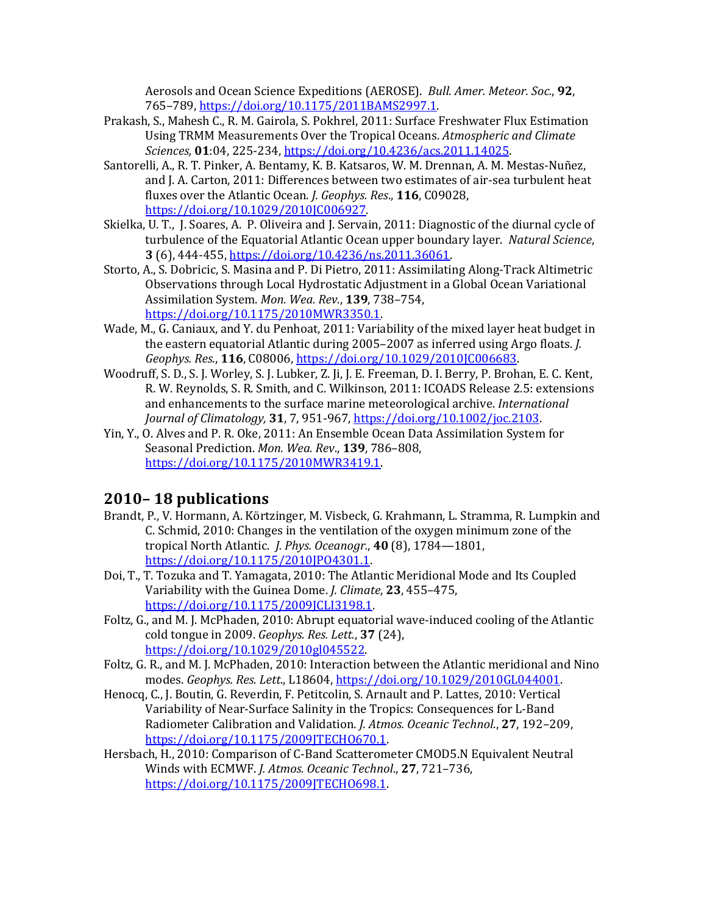Aerosols and Ocean Science Expeditions (AEROSE). *Bull. Amer. Meteor. Soc.*, 92, 765–789, https://doi.org/10.1175/2011BAMS2997.1.

- Prakash, S., Mahesh C., R. M. Gairola, S. Pokhrel, 2011: Surface Freshwater Flux Estimation Using TRMM Measurements Over the Tropical Oceans. Atmospheric and Climate *Sciences,* **01**:04, 225-234, https://doi.org/10.4236/acs.2011.14025.
- Santorelli, A., R. T. Pinker, A. Bentamy, K. B. Katsaros, W. M. Drennan, A. M. Mestas-Nuñez, and J. A. Carton, 2011: Differences between two estimates of air-sea turbulent heat fluxes over the Atlantic Ocean. *J. Geophys. Res.*, **116**, C09028, https://doi.org/10.1029/2010JC006927.
- Skielka, U. T., J. Soares, A. P. Oliveira and J. Servain, 2011: Diagnostic of the diurnal cycle of turbulence of the Equatorial Atlantic Ocean upper boundary layer. Natural Science, **3** (6), 444-455, https://doi.org/10.4236/ns.2011.36061.
- Storto, A., S. Dobricic, S. Masina and P. Di Pietro, 2011: Assimilating Along-Track Altimetric Observations through Local Hydrostatic Adjustment in a Global Ocean Variational Assimilation System. Mon. Wea. Rev., 139, 738-754, https://doi.org/10.1175/2010MWR3350.1.
- Wade, M., G. Caniaux, and Y. du Penhoat, 2011: Variability of the mixed layer heat budget in the eastern equatorial Atlantic during 2005–2007 as inferred using Argo floats. *J.* Geophys. Res., **116**, C08006, https://doi.org/10.1029/2010JC006683.
- Woodruff, S. D., S. J. Worley, S. J. Lubker, Z. Ji, J. E. Freeman, D. I. Berry, P. Brohan, E. C. Kent, R. W. Reynolds, S. R. Smith, and C. Wilkinson, 2011: ICOADS Release 2.5: extensions and enhancements to the surface marine meteorological archive. *International Journal of Climatology,* **31**, 7, 951-967, https://doi.org/10.1002/joc.2103.
- Yin, Y., O. Alves and P. R. Oke, 2011: An Ensemble Ocean Data Assimilation System for Seasonal Prediction. Mon. Wea. Rev., 139, 786-808, https://doi.org/10.1175/2010MWR3419.1.

#### **2010– 18 publications**

- Brandt, P., V. Hormann, A. Körtzinger, M. Visbeck, G. Krahmann, L. Stramma, R. Lumpkin and C. Schmid, 2010: Changes in the ventilation of the oxygen minimum zone of the tropical North Atlantic. *J. Phys. Oceanogr.*, **40** (8), 1784—1801, https://doi.org/10.1175/2010JPO4301.1.
- Doi, T., T. Tozuka and T. Yamagata, 2010: The Atlantic Meridional Mode and Its Coupled Variability with the Guinea Dome. *J. Climate*, 23, 455-475, https://doi.org/10.1175/2009JCLI3198.1.
- Foltz, G., and M. J. McPhaden, 2010: Abrupt equatorial wave-induced cooling of the Atlantic cold tongue in 2009. Geophys. Res. Lett., 37 (24), https://doi.org/10.1029/2010gl045522.
- Foltz, G. R., and M. J. McPhaden, 2010: Interaction between the Atlantic meridional and Nino modes. *Geophys. Res. Lett*., L18604, https://doi.org/10.1029/2010GL044001.
- Henocq, C., J. Boutin, G. Reverdin, F. Petitcolin, S. Arnault and P. Lattes, 2010: Vertical Variability of Near-Surface Salinity in the Tropics: Consequences for L-Band Radiometer Calibration and Validation. *J. Atmos. Oceanic Technol.*, 27, 192-209, https://doi.org/10.1175/2009JTECHO670.1.
- Hersbach, H., 2010: Comparison of C-Band Scatterometer CMOD5.N Equivalent Neutral Winds with ECMWF. *J. Atmos. Oceanic Technol.*, 27, 721-736, https://doi.org/10.1175/2009JTECH0698.1.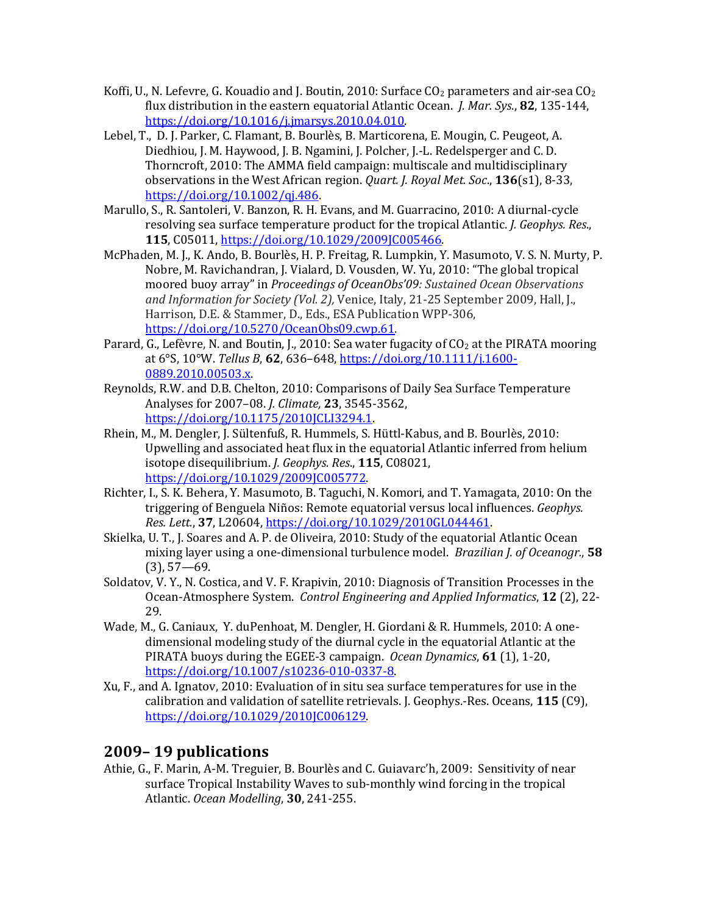- Koffi, U., N. Lefevre, G. Kouadio and J. Boutin, 2010: Surface  $CO<sub>2</sub>$  parameters and air-sea  $CO<sub>2</sub>$ flux distribution in the eastern equatorial Atlantic Ocean. *J. Mar. Sys.*, **82**, 135-144, https://doi.org/10.1016/j.jmarsys.2010.04.010.
- Lebel, T., D. J. Parker, C. Flamant, B. Bourlès, B. Marticorena, E. Mougin, C. Peugeot, A. Diedhiou, J. M. Haywood, J. B. Ngamini, J. Polcher, J.-L. Redelsperger and C. D. Thorncroft, 2010: The AMMA field campaign: multiscale and multidisciplinary observations in the West African region. *Quart. J. Royal Met. Soc.*, **136**(s1), 8-33, https://doi.org/10.1002/qj.486.
- Marullo, S., R. Santoleri, V. Banzon, R. H. Evans, and M. Guarracino, 2010: A diurnal-cycle resolving sea surface temperature product for the tropical Atlantic. *J. Geophys. Res.*, **115**, C05011, https://doi.org/10.1029/2009JC005466.
- McPhaden, M. J., K. Ando, B. Bourlès, H. P. Freitag, R. Lumpkin, Y. Masumoto, V. S. N. Murty, P. Nobre, M. Ravichandran, J. Vialard, D. Vousden, W. Yu, 2010: "The global tropical moored buoy array" in *Proceedings of OceanObs'09: Sustained Ocean Observations* and Information for Society (Vol. 2), Venice, Italy, 21-25 September 2009, Hall, J., Harrison, D.E. & Stammer, D., Eds., ESA Publication WPP-306, https://doi.org/10.5270/OceanObs09.cwp.61.
- Parard, G., Lefèvre, N. and Boutin, J., 2010: Sea water fugacity of  $CO<sub>2</sub>$  at the PIRATA mooring at 6°S, 10°W. Tellus B, 62, 636-648, https://doi.org/10.1111/j.1600-0889.2010.00503.x.
- Reynolds, R.W. and D.B. Chelton, 2010: Comparisons of Daily Sea Surface Temperature Analyses for 2007–08. *J. Climate,* **23**, 3545-3562, https://doi.org/10.1175/2010JCLI3294.1.
- Rhein, M., M. Dengler, J. Sültenfuß, R. Hummels, S. Hüttl-Kabus, and B. Bourlès, 2010: Upwelling and associated heat flux in the equatorial Atlantic inferred from helium isotope disequilibrium. *J. Geophys. Res.*, **115**, C08021, https://doi.org/10.1029/2009JC005772.
- Richter, I., S. K. Behera, Y. Masumoto, B. Taguchi, N. Komori, and T. Yamagata, 2010: On the triggering of Benguela Niños: Remote equatorial versus local influences. *Geophys. Res. Lett.*, **37**, L20604, https://doi.org/10.1029/2010GL044461.
- Skielka, U. T., J. Soares and A. P. de Oliveira, 2010: Study of the equatorial Atlantic Ocean mixing layer using a one-dimensional turbulence model. *Brazilian J. of Oceanogr.*, **58**  $(3)$ , 57-69.
- Soldatov, V. Y., N. Costica, and V. F. Krapivin, 2010: Diagnosis of Transition Processes in the Ocean-Atmosphere System. *Control Engineering and Applied Informatics*, 12 (2), 22-29.
- Wade, M., G. Caniaux, Y. duPenhoat, M. Dengler, H. Giordani & R. Hummels, 2010: A onedimensional modeling study of the diurnal cycle in the equatorial Atlantic at the PIRATA buoys during the EGEE-3 campaign. *Ocean Dynamics*, **61** (1), 1-20, https://doi.org/10.1007/s10236-010-0337-8.
- Xu, F., and A. Ignatov, 2010: Evaluation of in situ sea surface temperatures for use in the calibration and validation of satellite retrievals. J. Geophys.-Res. Oceans, **115** (C9), https://doi.org/10.1029/2010JC006129.

## **2009– 19 publications**

Athie, G., F. Marin, A-M. Treguier, B. Bourlès and C. Guiavarc'h, 2009: Sensitivity of near surface Tropical Instability Waves to sub-monthly wind forcing in the tropical Atlantic. Ocean Modelling, 30, 241-255.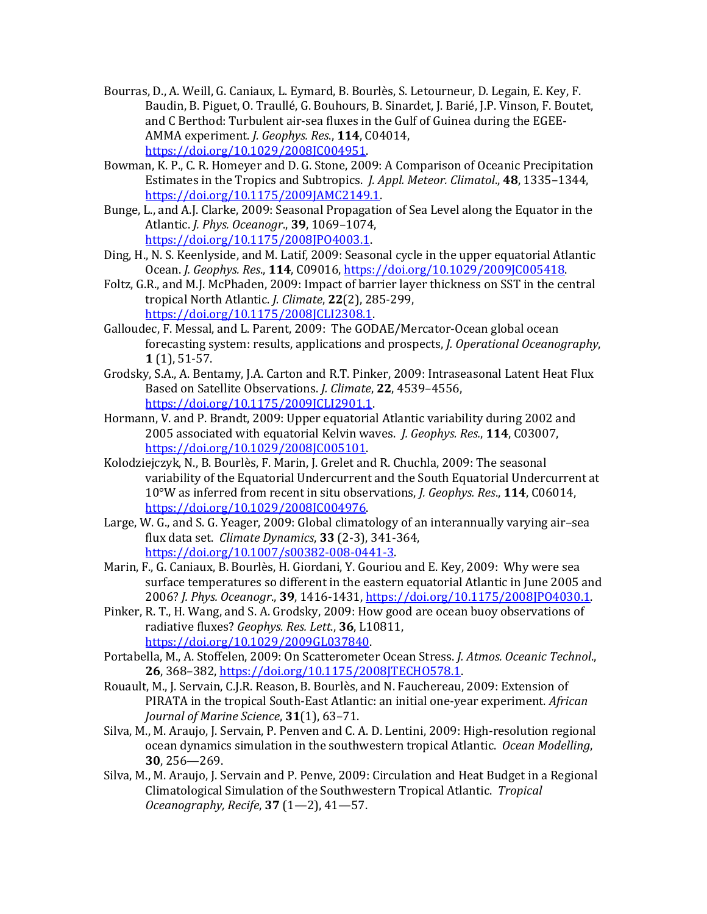- Bourras, D., A. Weill, G. Caniaux, L. Eymard, B. Bourlès, S. Letourneur, D. Legain, E. Key, F. Baudin, B. Piguet, O. Traullé, G. Bouhours, B. Sinardet, J. Barié, J.P. Vinson, F. Boutet, and C Berthod: Turbulent air-sea fluxes in the Gulf of Guinea during the EGEE-AMMA experiment. *J. Geophys. Res.*, 114, C04014, https://doi.org/10.1029/2008JC004951.
- Bowman, K. P., C. R. Homeyer and D. G. Stone, 2009: A Comparison of Oceanic Precipitation Estimates in the Tropics and Subtropics. *J. Appl. Meteor. Climatol.*, **48**, 1335–1344, https://doi.org/10.1175/2009JAMC2149.1.
- Bunge, L., and A.J. Clarke, 2009: Seasonal Propagation of Sea Level along the Equator in the Atlantic. *J. Phys. Oceanogr*., **39**, 1069–1074, https://doi.org/10.1175/2008JPO4003.1.
- Ding, H., N. S. Keenlyside, and M. Latif, 2009: Seasonal cycle in the upper equatorial Atlantic Ocean. *J. Geophys. Res.*, **114**, C09016, https://doi.org/10.1029/2009JC005418.
- Foltz, G.R., and M.J. McPhaden, 2009: Impact of barrier layer thickness on SST in the central tropical North Atlantic. *J. Climate*, **22**(2), 285-299, https://doi.org/10.1175/2008JCLI2308.1.
- Galloudec, F. Messal, and L. Parent, 2009: The GODAE/Mercator-Ocean global ocean forecasting system: results, applications and prospects, *J. Operational Oceanography*, **1** (1), 51-57.
- Grodsky, S.A., A. Bentamy, J.A. Carton and R.T. Pinker, 2009: Intraseasonal Latent Heat Flux Based on Satellite Observations. *J. Climate*, 22, 4539-4556, https://doi.org/10.1175/2009JCLI2901.1.
- Hormann, V. and P. Brandt, 2009: Upper equatorial Atlantic variability during 2002 and 2005 associated with equatorial Kelvin waves. *J. Geophys. Res.*, 114, C03007, https://doi.org/10.1029/2008JC005101.
- Kolodziejczyk, N., B. Bourlès, F. Marin, J. Grelet and R. Chuchla, 2009: The seasonal variability of the Equatorial Undercurrent and the South Equatorial Undercurrent at 10°W as inferred from recent in situ observations, *J. Geophys. Res.*, 114, C06014, https://doi.org/10.1029/2008JC004976.
- Large, W. G., and S. G. Yeager, 2009: Global climatology of an interannually varying air-sea flux data set. *Climate Dynamics*, **33** (2-3), 341-364, https://doi.org/10.1007/s00382-008-0441-3.
- Marin, F., G. Caniaux, B. Bourlès, H. Giordani, Y. Gouriou and E. Key, 2009: Why were sea surface temperatures so different in the eastern equatorial Atlantic in June 2005 and 2006? *J. Phys. Oceanogr.*, **39**, 1416-1431, https://doi.org/10.1175/2008JPO4030.1.
- Pinker, R. T., H. Wang, and S. A. Grodsky, 2009: How good are ocean buoy observations of radiative fluxes? *Geophys. Res. Lett.*, 36, L10811, https://doi.org/10.1029/2009GL037840.
- Portabella, M., A. Stoffelen, 2009: On Scatterometer Ocean Stress. *J. Atmos. Oceanic Technol.*, 26, 368-382, https://doi.org/10.1175/2008JTECHO578.1.
- Rouault, M., J. Servain, C.J.R. Reason, B. Bourlès, and N. Fauchereau, 2009: Extension of PIRATA in the tropical South-East Atlantic: an initial one-year experiment. *African Journal of Marine Science*, **31**(1), 63–71.
- Silva, M., M. Araujo, J. Servain, P. Penven and C. A. D. Lentini, 2009: High-resolution regional ocean dynamics simulation in the southwestern tropical Atlantic. *Ocean Modelling*, **30**, 256—269.
- Silva, M., M. Araujo, J. Servain and P. Penve, 2009: Circulation and Heat Budget in a Regional Climatological Simulation of the Southwestern Tropical Atlantic. *Tropical Oceanography, Recife*, **37** (1—2), 41—57.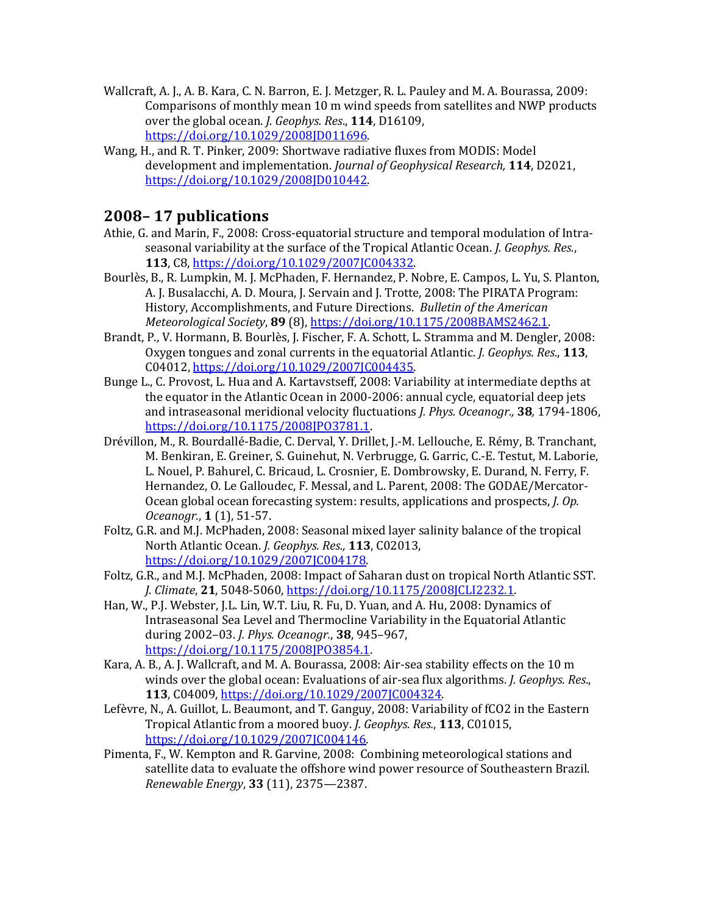- Wallcraft, A. J., A. B. Kara, C. N. Barron, E. J. Metzger, R. L. Pauley and M. A. Bourassa, 2009: Comparisons of monthly mean 10 m wind speeds from satellites and NWP products over the global ocean. *J. Geophys. Res.*, 114, D16109, https://doi.org/10.1029/2008JD011696.
- Wang, H., and R. T. Pinker, 2009: Shortwave radiative fluxes from MODIS: Model development and implementation. *Journal of Geophysical Research*, 114, D2021, https://doi.org/10.1029/2008JD010442.

## **2008– 17 publications**

- Athie, G. and Marin, F., 2008: Cross-equatorial structure and temporal modulation of Intraseasonal variability at the surface of the Tropical Atlantic Ocean. *J. Geophys. Res.*, 113, C8, https://doi.org/10.1029/2007JC004332.
- Bourlès, B., R. Lumpkin, M. J. McPhaden, F. Hernandez, P. Nobre, E. Campos, L. Yu, S. Planton, A. J. Busalacchi, A. D. Moura, J. Servain and J. Trotte, 2008: The PIRATA Program: History, Accomplishments, and Future Directions. Bulletin of the American *Meteorological Society*, **89** (8), https://doi.org/10.1175/2008BAMS2462.1.
- Brandt, P., V. Hormann, B. Bourlès, J. Fischer, F. A. Schott, L. Stramma and M. Dengler, 2008: Oxygen tongues and zonal currents in the equatorial Atlantic. *J. Geophys. Res.*, 113, C04012, https://doi.org/10.1029/2007JC004435.
- Bunge L., C. Provost, L. Hua and A. Kartavstseff, 2008: Variability at intermediate depths at the equator in the Atlantic Ocean in 2000-2006: annual cycle, equatorial deep jets and intraseasonal meridional velocity fluctuations *J. Phys. Oceanogr.*, **38**, 1794-1806, https://doi.org/10.1175/2008JPO3781.1.
- Drévillon, M., R. Bourdallé-Badie, C. Derval, Y. Drillet, J.-M. Lellouche, E. Rémy, B. Tranchant, M. Benkiran, E. Greiner, S. Guinehut, N. Verbrugge, G. Garric, C.-E. Testut, M. Laborie, L. Nouel, P. Bahurel, C. Bricaud, L. Crosnier, E. Dombrowsky, E. Durand, N. Ferry, F. Hernandez, O. Le Galloudec, F. Messal, and L. Parent, 2008: The GODAE/Mercator-Ocean global ocean forecasting system: results, applications and prospects, *J. Op. Oceanogr.*, **1** (1), 51-57.
- Foltz, G.R. and M.J. McPhaden, 2008: Seasonal mixed layer salinity balance of the tropical North Atlantic Ocean. *J. Geophys. Res.*, 113, C02013, https://doi.org/10.1029/2007JC004178.
- Foltz, G.R., and M.J. McPhaden, 2008: Impact of Saharan dust on tropical North Atlantic SST. *J. Climate*, **21**, 5048-5060, https://doi.org/10.1175/2008JCLI2232.1.
- Han, W., P.J. Webster, J.L. Lin, W.T. Liu, R. Fu, D. Yuan, and A. Hu, 2008: Dynamics of Intraseasonal Sea Level and Thermocline Variability in the Equatorial Atlantic during 2002-03. *J. Phys. Oceanogr.*, **38**, 945-967, https://doi.org/10.1175/2008JPO3854.1.
- Kara, A. B., A. J. Wallcraft, and M. A. Bourassa, 2008: Air-sea stability effects on the 10 m winds over the global ocean: Evaluations of air-sea flux algorithms. *J. Geophys. Res.*, **113**, C04009, https://doi.org/10.1029/2007JC004324.
- Lefèvre, N., A. Guillot, L. Beaumont, and T. Ganguy, 2008: Variability of fCO2 in the Eastern Tropical Atlantic from a moored buoy. *J. Geophys. Res.*, 113, C01015, https://doi.org/10.1029/2007JC004146.
- Pimenta, F., W. Kempton and R. Garvine, 2008: Combining meteorological stations and satellite data to evaluate the offshore wind power resource of Southeastern Brazil. *Renewable Energy*, **33** (11), 2375—2387.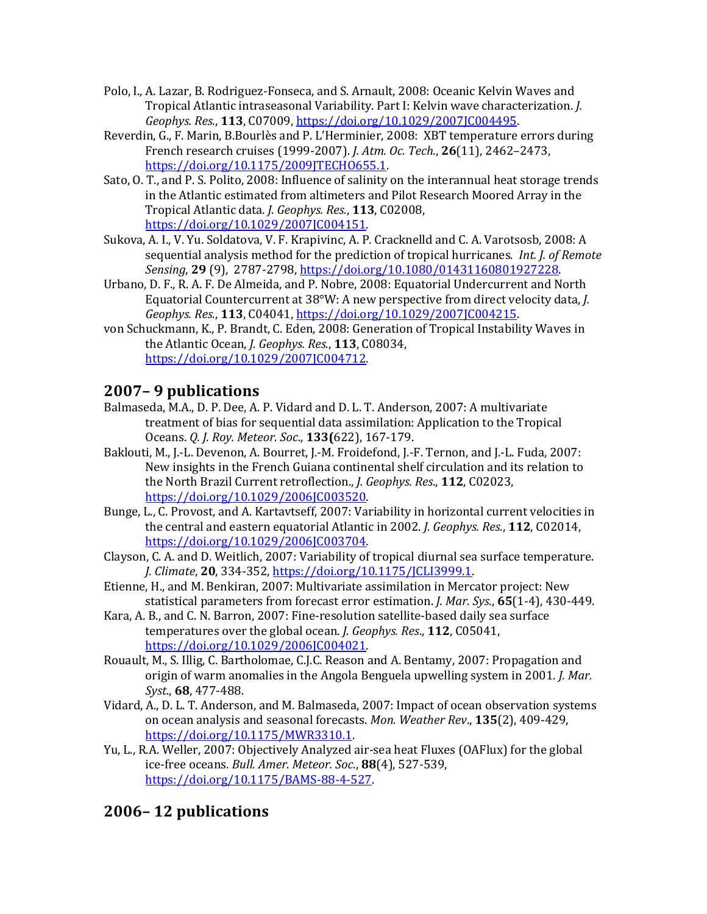- Polo, I., A. Lazar, B. Rodriguez-Fonseca, and S. Arnault, 2008: Oceanic Kelvin Waves and Tropical Atlantic intraseasonal Variability. Part I: Kelvin wave characterization. *J. Geophys. Res*., **113**, C07009, https://doi.org/10.1029/2007JC004495.
- Reverdin, G., F. Marin, B.Bourlès and P. L'Herminier, 2008: XBT temperature errors during French research cruises (1999-2007). *J. Atm. Oc. Tech.*, **26**(11), 2462-2473, https://doi.org/10.1175/2009JTECH0655.1.
- Sato, O. T., and P. S. Polito, 2008: Influence of salinity on the interannual heat storage trends in the Atlantic estimated from altimeters and Pilot Research Moored Array in the Tropical Atlantic data. *J. Geophys. Res.*, **113**, C02008, https://doi.org/10.1029/2007JC004151.
- Sukova, A. I., V. Yu. Soldatova, V. F. Krapivinc, A. P. Cracknelld and C. A. Varotsosb, 2008: A sequential analysis method for the prediction of tropical hurricanes. *Int. J. of Remote* Sensing, 29 (9), 2787-2798, https://doi.org/10.1080/01431160801927228.
- Urbano, D. F., R. A. F. De Almeida, and P. Nobre, 2008: Equatorial Undercurrent and North Equatorial Countercurrent at 38°W: A new perspective from direct velocity data, *J. Geophys. Res*., **113**, C04041, https://doi.org/10.1029/2007JC004215.
- von Schuckmann, K., P. Brandt, C. Eden, 2008: Generation of Tropical Instability Waves in the Atlantic Ocean, *J. Geophys. Res.*, **113**, C08034, https://doi.org/10.1029/2007JC004712.

# **2007– 9 publications**

- Balmaseda, M.A., D. P. Dee, A. P. Vidard and D. L. T. Anderson, 2007: A multivariate treatment of bias for sequential data assimilation: Application to the Tropical Oceans. *Q. J. Roy. Meteor. Soc*., **133(**622), 167-179.
- Baklouti, M., J.-L. Devenon, A. Bourret, J.-M. Froidefond, J.-F. Ternon, and J.-L. Fuda, 2007: New insights in the French Guiana continental shelf circulation and its relation to the North Brazil Current retroflection., *J. Geophys. Res.*, 112, C02023, https://doi.org/10.1029/2006JC003520.
- Bunge, L., C. Provost, and A. Kartavtseff, 2007: Variability in horizontal current velocities in the central and eastern equatorial Atlantic in 2002. *J. Geophys. Res.*, 112, C02014, https://doi.org/10.1029/2006JC003704.
- Clayson, C. A. and D. Weitlich, 2007: Variability of tropical diurnal sea surface temperature. *J. Climate*, **20**, 334-352, https://doi.org/10.1175/JCLI3999.1.
- Etienne, H., and M. Benkiran, 2007: Multivariate assimilation in Mercator project: New statistical parameters from forecast error estimation. *J. Mar. Sys.*, **65**(1-4), 430-449.
- Kara, A. B., and C. N. Barron, 2007: Fine-resolution satellite-based daily sea surface temperatures over the global ocean. *J. Geophys. Res.*, **112**, C05041, https://doi.org/10.1029/2006JC004021.
- Rouault, M., S. Illig, C. Bartholomae, C.J.C. Reason and A. Bentamy, 2007: Propagation and origin of warm anomalies in the Angola Benguela upwelling system in 2001. *J. Mar. Syst*., **68**, 477-488.
- Vidard, A., D. L. T. Anderson, and M. Balmaseda, 2007: Impact of ocean observation systems on ocean analysis and seasonal forecasts. *Mon. Weather Rev*., **135**(2), 409-429, https://doi.org/10.1175/MWR3310.1.
- Yu, L., R.A. Weller, 2007: Objectively Analyzed air-sea heat Fluxes (OAFlux) for the global ice-free oceans. *Bull. Amer. Meteor. Soc*., **88**(4), 527-539, https://doi.org/10.1175/BAMS-88-4-527.

# **2006– 12 publications**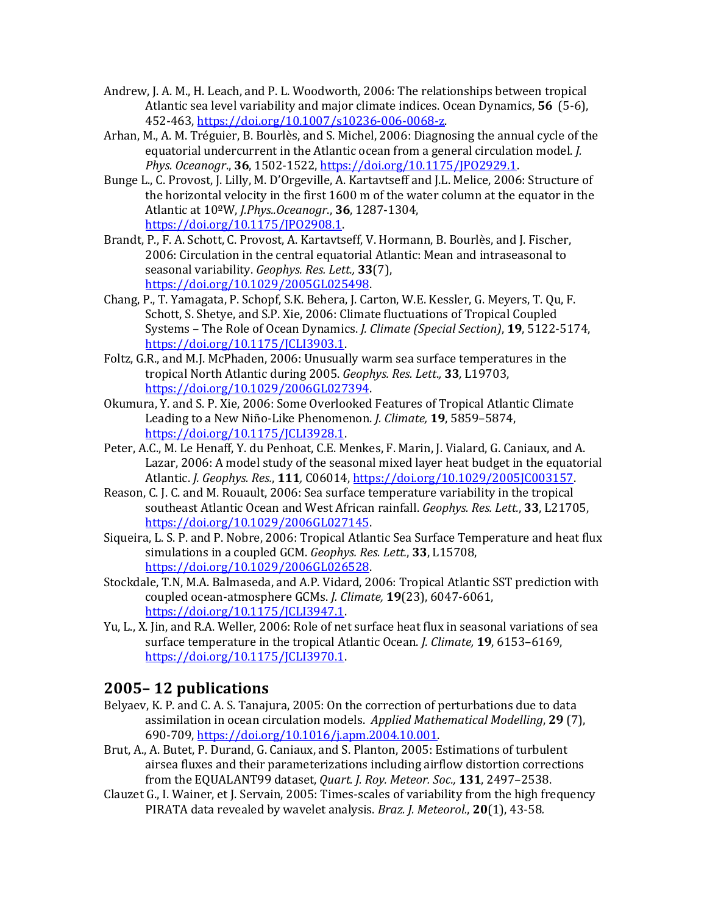- Andrew, J. A. M., H. Leach, and P. L. Woodworth, 2006: The relationships between tropical Atlantic sea level variability and major climate indices. Ocean Dynamics, 56 (5-6), 452-463, https://doi.org/10.1007/s10236-006-0068-z.
- Arhan, M., A. M. Tréguier, B. Bourlès, and S. Michel, 2006: Diagnosing the annual cycle of the equatorial undercurrent in the Atlantic ocean from a general circulation model. *J. Phys. Oceanogr*., **36**, 1502-1522, https://doi.org/10.1175/JPO2929.1.
- Bunge L., C. Provost, J. Lilly, M. D'Orgeville, A. Kartavtseff and J.L. Melice, 2006: Structure of the horizontal velocity in the first  $1600$  m of the water column at the equator in the Atlantic at 10ºW, *J.Phys..Oceanogr*., **36**, 1287-1304, https://doi.org/10.1175/JPO2908.1.
- Brandt, P., F. A. Schott, C. Provost, A. Kartavtseff, V. Hormann, B. Bourlès, and J. Fischer, 2006: Circulation in the central equatorial Atlantic: Mean and intraseasonal to seasonal variability. *Geophys. Res. Lett.,* **33**(7), https://doi.org/10.1029/2005GL025498.
- Chang, P., T. Yamagata, P. Schopf, S.K. Behera, J. Carton, W.E. Kessler, G. Meyers, T. Qu, F. Schott, S. Shetye, and S.P. Xie, 2006: Climate fluctuations of Tropical Coupled Systems - The Role of Ocean Dynamics. *J. Climate (Special Section)*, **19**, 5122-5174, https://doi.org/10.1175/JCLI3903.1.
- Foltz, G.R., and M.J. McPhaden, 2006: Unusually warm sea surface temperatures in the tropical North Atlantic during 2005. *Geophys. Res. Lett*.*,* **33***,* L19703, https://doi.org/10.1029/2006GL027394.
- Okumura, Y. and S. P. Xie, 2006: Some Overlooked Features of Tropical Atlantic Climate Leading to a New Niño-Like Phenomenon. *J. Climate*, **19**, 5859–5874, https://doi.org/10.1175/JCLI3928.1.
- Peter, A.C., M. Le Henaff, Y. du Penhoat, C.E. Menkes, F. Marin, J. Vialard, G. Caniaux, and A. Lazar, 2006: A model study of the seasonal mixed layer heat budget in the equatorial Atlantic. *J. Geophys. Res.*, **111***,* C06014, https://doi.org/10.1029/2005JC003157.
- Reason, C. J. C. and M. Rouault, 2006: Sea surface temperature variability in the tropical southeast Atlantic Ocean and West African rainfall. *Geophys. Res. Lett.*, 33, L21705, https://doi.org/10.1029/2006GL027145.
- Siqueira, L. S. P. and P. Nobre, 2006: Tropical Atlantic Sea Surface Temperature and heat flux simulations in a coupled GCM. Geophys. Res. Lett., 33, L15708, https://doi.org/10.1029/2006GL026528.
- Stockdale, T.N, M.A. Balmaseda, and A.P. Vidard, 2006: Tropical Atlantic SST prediction with coupled ocean-atmosphere GCMs. *J. Climate,* **19**(23), 6047-6061, https://doi.org/10.1175/JCLI3947.1.
- Yu, L., X. Jin, and R.A. Weller, 2006: Role of net surface heat flux in seasonal variations of sea surface temperature in the tropical Atlantic Ocean. *J. Climate*, **19**, 6153-6169, https://doi.org/10.1175/JCLI3970.1.

# **2005– 12 publications**

- Belyaev, K. P. and C. A. S. Tanajura, 2005: On the correction of perturbations due to data assimilation in ocean circulation models. *Applied Mathematical Modelling*, 29 (7), 690-709, https://doi.org/10.1016/j.apm.2004.10.001.
- Brut, A., A. Butet, P. Durand, G. Caniaux, and S. Planton, 2005: Estimations of turbulent airsea fluxes and their parameterizations including airflow distortion corrections from the EQUALANT99 dataset, *Quart. J. Roy. Meteor. Soc.*, **131**, 2497-2538.
- Clauzet G., I. Wainer, et J. Servain, 2005: Times-scales of variability from the high frequency PIRATA data revealed by wavelet analysis. *Braz. J. Meteorol.*, **20**(1), 43-58*.*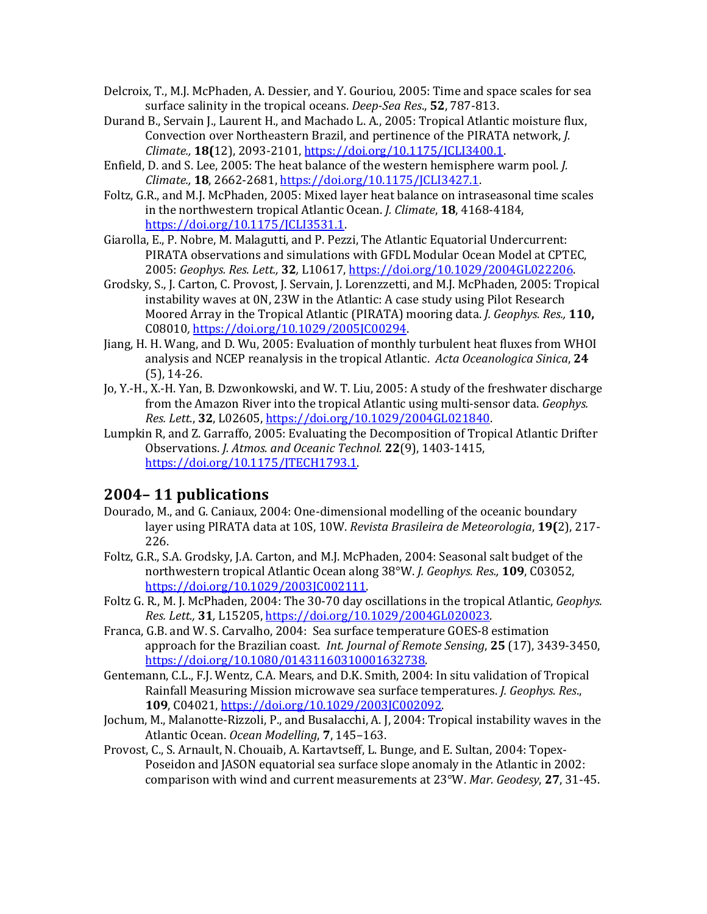- Delcroix, T., M.J. McPhaden, A. Dessier, and Y. Gouriou, 2005: Time and space scales for sea surface salinity in the tropical oceans. *Deep-Sea Res.*, **52**, 787-813.
- Durand B., Servain J., Laurent H., and Machado L. A., 2005: Tropical Atlantic moisture flux, Convection over Northeastern Brazil, and pertinence of the PIRATA network, *J. Climate.,* **18(**12), 2093-2101, https://doi.org/10.1175/JCLI3400.1.
- Enfield, D. and S. Lee, 2005: The heat balance of the western hemisphere warm pool. *J. Climate.,* **18**, 2662-2681, https://doi.org/10.1175/JCLI3427.1.
- Foltz, G.R., and M.J. McPhaden, 2005: Mixed layer heat balance on intraseasonal time scales in the northwestern tropical Atlantic Ocean. *J. Climate*, **18**, 4168-4184, https://doi.org/10.1175/JCLI3531.1.
- Giarolla, E., P. Nobre, M. Malagutti, and P. Pezzi, The Atlantic Equatorial Undercurrent: PIRATA observations and simulations with GFDL Modular Ocean Model at CPTEC, 2005: *Geophys. Res. Lett.*, **32**, L10617, https://doi.org/10.1029/2004GL022206.
- Grodsky, S., J. Carton, C. Provost, J. Servain, J. Lorenzzetti, and M.J. McPhaden, 2005: Tropical instability waves at 0N, 23W in the Atlantic: A case study using Pilot Research Moored Array in the Tropical Atlantic (PIRATA) mooring data. *J. Geophys. Res.*, **110,** C08010*,* https://doi.org/10.1029/2005JC00294.
- Jiang, H. H. Wang, and D. Wu, 2005: Evaluation of monthly turbulent heat fluxes from WHOI analysis and NCEP reanalysis in the tropical Atlantic. Acta Oceanologica Sinica, 24  $(5)$ , 14-26.
- Jo, Y.-H., X.-H. Yan, B. Dzwonkowski, and W. T. Liu, 2005: A study of the freshwater discharge from the Amazon River into the tropical Atlantic using multi-sensor data. *Geophys. Res. Lett*., **32**, L02605, https://doi.org/10.1029/2004GL021840.
- Lumpkin R, and Z. Garraffo, 2005: Evaluating the Decomposition of Tropical Atlantic Drifter Observations. *J. Atmos. and Oceanic Technol.* **22**(9), 1403-1415, https://doi.org/10.1175/JTECH1793.1.

#### **2004– 11 publications**

- Dourado, M., and G. Caniaux, 2004: One-dimensional modelling of the oceanic boundary layer using PIRATA data at 10S, 10W. Revista Brasileira de Meteorologia, 19(2), 217-226.
- Foltz, G.R., S.A. Grodsky, J.A. Carton, and M.J. McPhaden, 2004: Seasonal salt budget of the northwestern tropical Atlantic Ocean along 38°W. *J. Geophys. Res.*, **109**, C03052, https://doi.org/10.1029/2003JC002111.
- Foltz G. R., M. J. McPhaden, 2004: The 30-70 day oscillations in the tropical Atlantic, *Geophys. Res. Lett.,* **31***,* L15205, https://doi.org/10.1029/2004GL020023.
- Franca, G.B. and W. S. Carvalho, 2004: Sea surface temperature GOES-8 estimation approach for the Brazilian coast. *Int. Journal of Remote Sensing*, 25 (17), 3439-3450, https://doi.org/10.1080/01431160310001632738.
- Gentemann, C.L., F.J. Wentz, C.A. Mears, and D.K. Smith, 2004: In situ validation of Tropical Rainfall Measuring Mission microwave sea surface temperatures. *J. Geophys. Res.*, **109**, C04021, https://doi.org/10.1029/2003JC002092.
- Jochum, M., Malanotte-Rizzoli, P., and Busalacchi, A. J, 2004: Tropical instability waves in the Atlantic Ocean. Ocean Modelling, 7, 145-163.
- Provost, C., S. Arnault, N. Chouaib, A. Kartavtseff, L. Bunge, and E. Sultan, 2004: Topex-Poseidon and JASON equatorial sea surface slope anomaly in the Atlantic in 2002: comparison with wind and current measurements at 23°W. Mar. Geodesy, 27, 31-45.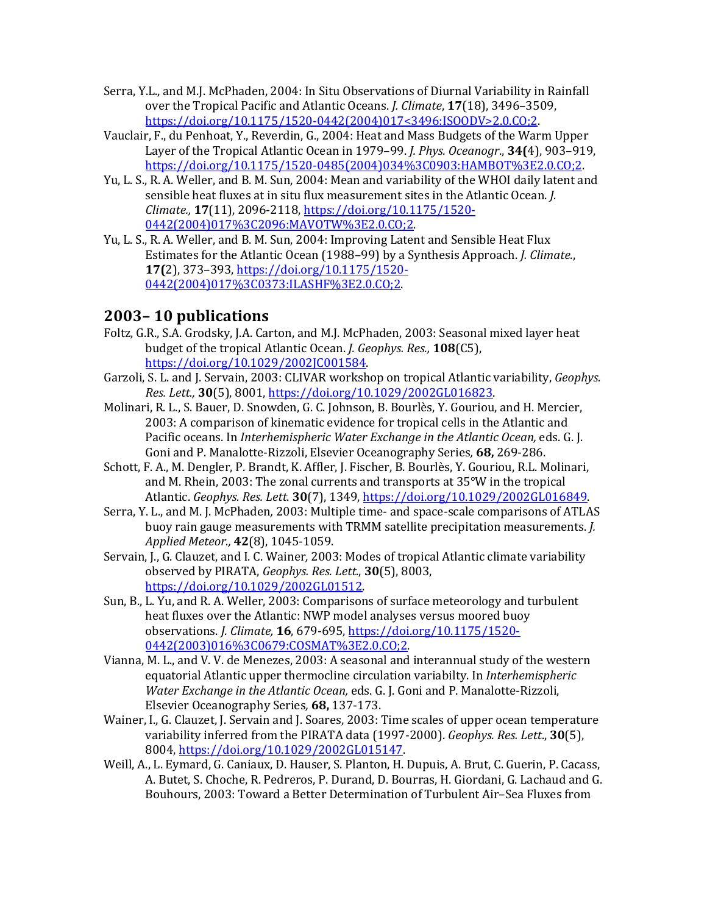- Serra, Y.L., and M.J. McPhaden, 2004: In Situ Observations of Diurnal Variability in Rainfall over the Tropical Pacific and Atlantic Oceans. *J. Climate*, **17**(18), 3496–3509, https://doi.org/10.1175/1520-0442(2004)017<3496:ISOODV>2.0.CO;2.
- Vauclair, F., du Penhoat, Y., Reverdin, G., 2004: Heat and Mass Budgets of the Warm Upper Layer of the Tropical Atlantic Ocean in 1979–99. *J. Phys. Oceanogr.*, **34(**4), 903–919, https://doi.org/10.1175/1520-0485(2004)034%3C0903:HAMBOT%3E2.0.CO;2.
- Yu, L. S., R. A. Weller, and B. M. Sun, 2004: Mean and variability of the WHOI daily latent and sensible heat fluxes at in situ flux measurement sites in the Atlantic Ocean. *J. Climate.,* **17**(11), 2096-2118, https://doi.org/10.1175/1520- 0442(2004)017%3C2096:MAVOTW%3E2.0.CO;2.
- Yu, L. S., R. A. Weller, and B. M. Sun, 2004: Improving Latent and Sensible Heat Flux Estimates for the Atlantic Ocean (1988–99) by a Synthesis Approach. *J. Climate.*, **17(**2), 373–393, https://doi.org/10.1175/1520- 0442(2004)017%3C0373:ILASHF%3E2.0.CO;2.

# **2003– 10 publications**

- Foltz, G.R., S.A. Grodsky, J.A. Carton, and M.J. McPhaden, 2003: Seasonal mixed layer heat budget of the tropical Atlantic Ocean. *J. Geophys. Res.*, **108**(C5), https://doi.org/10.1029/2002JC001584.
- Garzoli, S. L. and J. Servain, 2003: CLIVAR workshop on tropical Atlantic variability, *Geophys. Res. Lett.,* **30**(5), 8001, https://doi.org/10.1029/2002GL016823.
- Molinari, R. L., S. Bauer, D. Snowden, G. C. Johnson, B. Bourlès, Y. Gouriou, and H. Mercier, 2003: A comparison of kinematic evidence for tropical cells in the Atlantic and Pacific oceans. In *Interhemispheric Water Exchange in the Atlantic Ocean,* eds. G. J. Goni and P. Manalotte-Rizzoli, Elsevier Oceanography Series, 68, 269-286.
- Schott, F. A., M. Dengler, P. Brandt, K. Affler, J. Fischer, B. Bourlès, Y. Gouriou, R.L. Molinari, and M. Rhein, 2003: The zonal currents and transports at  $35^{\circ}$ W in the tropical Atlantic. *Geophys. Res. Lett*. **30**(7), 1349, https://doi.org/10.1029/2002GL016849.
- Serra, Y. L., and M. J. McPhaden, 2003: Multiple time- and space-scale comparisons of ATLAS buoy rain gauge measurements with TRMM satellite precipitation measurements. *J. Applied Meteor.,* **42**(8), 1045-1059.
- Servain, J., G. Clauzet, and I. C. Wainer, 2003: Modes of tropical Atlantic climate variability observed by PIRATA, *Geophys. Res. Lett.*, 30(5), 8003, https://doi.org/10.1029/2002GL01512.
- Sun, B., L. Yu, and R. A. Weller, 2003: Comparisons of surface meteorology and turbulent heat fluxes over the Atlantic: NWP model analyses versus moored buoy observations. *J. Climate,* **16**, 679-695, https://doi.org/10.1175/1520- 0442(2003)016%3C0679:COSMAT%3E2.0.CO;2.
- Vianna, M. L., and V. V. de Menezes, 2003: A seasonal and interannual study of the western equatorial Atlantic upper thermocline circulation variabilty. In *Interhemispheric Water Exchange in the Atlantic Ocean, eds. G. J. Goni and P. Manalotte-Rizzoli,* Elsevier Oceanography Series, **68,** 137-173.
- Wainer, I., G. Clauzet, J. Servain and J. Soares, 2003: Time scales of upper ocean temperature variability inferred from the PIRATA data (1997-2000). *Geophys. Res. Lett.*, **30**(5), 8004, https://doi.org/10.1029/2002GL015147.
- Weill, A., L. Eymard, G. Caniaux, D. Hauser, S. Planton, H. Dupuis, A. Brut, C. Guerin, P. Cacass, A. Butet, S. Choche, R. Pedreros, P. Durand, D. Bourras, H. Giordani, G. Lachaud and G. Bouhours, 2003: Toward a Better Determination of Turbulent Air-Sea Fluxes from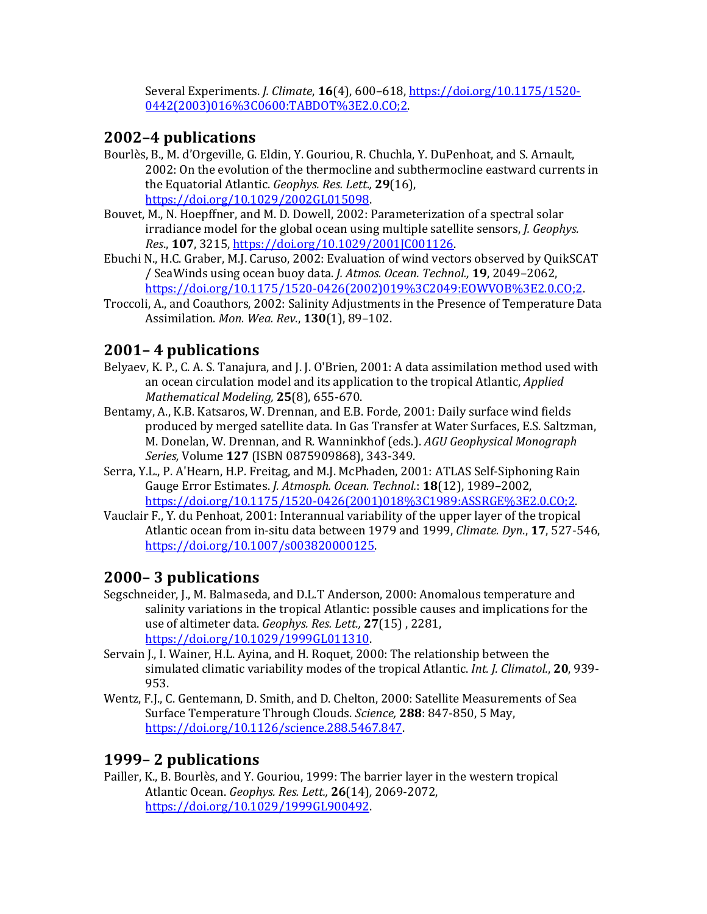Several Experiments. *J. Climate*, **16**(4), 600–618, https://doi.org/10.1175/1520-0442(2003)016%3C0600:TABDOT%3E2.0.CO;2.

## **2002–4 publications**

- Bourlès, B., M. d'Orgeville, G. Eldin, Y. Gouriou, R. Chuchla, Y. DuPenhoat, and S. Arnault, 2002: On the evolution of the thermocline and subthermocline eastward currents in the Equatorial Atlantic. *Geophys. Res. Lett.*, **29**(16), https://doi.org/10.1029/2002GL015098.
- Bouvet, M., N. Hoepffner, and M. D. Dowell, 2002: Parameterization of a spectral solar irradiance model for the global ocean using multiple satellite sensors, *J. Geophys. Res*., **107**, 3215, https://doi.org/10.1029/2001JC001126.
- Ebuchi N., H.C. Graber, M.J. Caruso, 2002: Evaluation of wind vectors observed by QuikSCAT / SeaWinds using ocean buoy data. *J. Atmos. Ocean. Technol.,* **19**, 2049–2062, https://doi.org/10.1175/1520-0426(2002)019%3C2049:EOWVOB%3E2.0.CO;2.
- Troccoli, A., and Coauthors, 2002: Salinity Adjustments in the Presence of Temperature Data Assimilation. *Mon. Wea. Rev*., **130**(1), 89–102.

# **2001– 4 publications**

- Belyaev, K. P., C. A. S. Tanajura, and J. J. O'Brien, 2001: A data assimilation method used with an ocean circulation model and its application to the tropical Atlantic, *Applied Mathematical Modeling,* **25**(8), 655-670.
- Bentamy, A., K.B. Katsaros, W. Drennan, and E.B. Forde, 2001: Daily surface wind fields produced by merged satellite data. In Gas Transfer at Water Surfaces, E.S. Saltzman, M. Donelan, W. Drennan, and R. Wanninkhof (eds.). *AGU Geophysical Monograph Series,* Volume **127** (ISBN 0875909868), 343-349.
- Serra, Y.L., P. A'Hearn, H.P. Freitag, and M.J. McPhaden, 2001: ATLAS Self-Siphoning Rain Gauge Error Estimates. *J. Atmosph. Ocean. Technol.*: **18**(12), 1989–2002, https://doi.org/10.1175/1520-0426(2001)018%3C1989:ASSRGE%3E2.0.CO;2.
- Vauclair F., Y. du Penhoat, 2001: Interannual variability of the upper layer of the tropical Atlantic ocean from in-situ data between 1979 and 1999, *Climate. Dyn.*, 17, 527-546, https://doi.org/10.1007/s003820000125.

# **2000– 3 publications**

- Segschneider, J., M. Balmaseda, and D.L.T Anderson, 2000: Anomalous temperature and salinity variations in the tropical Atlantic: possible causes and implications for the use of altimeter data. *Geophys. Res. Lett.*, 27(15), 2281, https://doi.org/10.1029/1999GL011310.
- Servain J., I. Wainer, H.L. Ayina, and H. Roquet, 2000: The relationship between the simulated climatic variability modes of the tropical Atlantic. *Int. J. Climatol.*, **20**, 939-953.
- Wentz, F.J., C. Gentemann, D. Smith, and D. Chelton, 2000: Satellite Measurements of Sea Surface Temperature Through Clouds. *Science*, **288**: 847-850, 5 May, https://doi.org/10.1126/science.288.5467.847.

## **1999– 2 publications**

Pailler, K., B. Bourlès, and Y. Gouriou, 1999: The barrier layer in the western tropical Atlantic Ocean. *Geophys. Res. Lett.,* **26**(14)*,* 2069-2072, https://doi.org/10.1029/1999GL900492.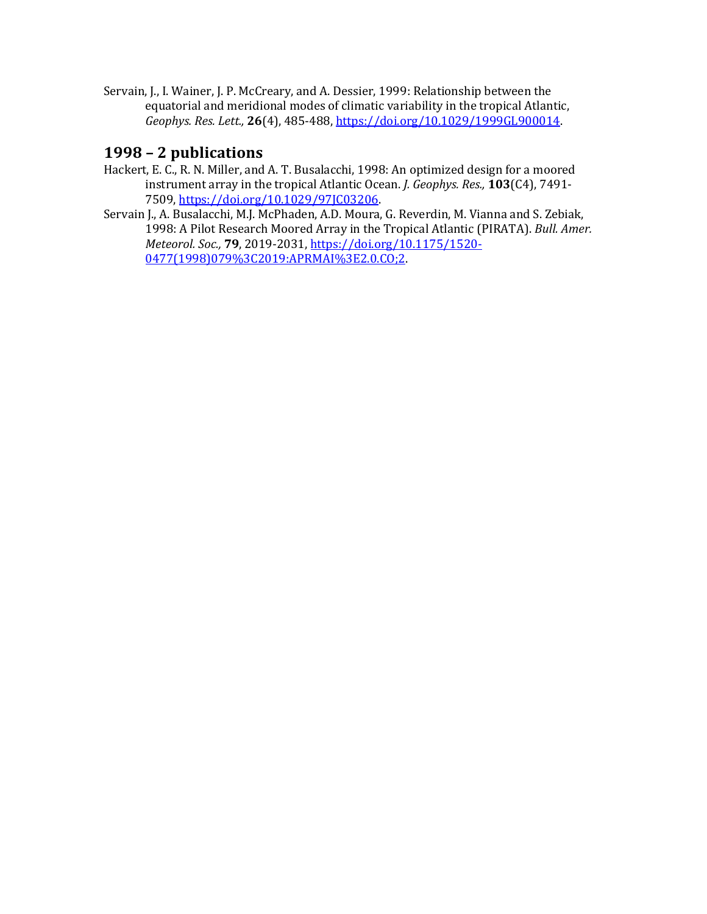Servain, J., I. Wainer, J. P. McCreary, and A. Dessier, 1999: Relationship between the equatorial and meridional modes of climatic variability in the tropical Atlantic, *Geophys. Res. Lett.,* **26**(4), 485-488, https://doi.org/10.1029/1999GL900014.

## **1998 – 2 publications**

- Hackert, E. C., R. N. Miller, and A. T. Busalacchi, 1998: An optimized design for a moored instrument array in the tropical Atlantic Ocean. *J. Geophys. Res.*, **103**(C4), 7491-7509, https://doi.org/10.1029/97JC03206.
- Servain J., A. Busalacchi, M.J. McPhaden, A.D. Moura, G. Reverdin, M. Vianna and S. Zebiak, 1998: A Pilot Research Moored Array in the Tropical Atlantic (PIRATA). *Bull. Amer. Meteorol. Soc.,* **79**, 2019-2031, https://doi.org/10.1175/1520- 0477(1998)079%3C2019:APRMAI%3E2.0.CO;2.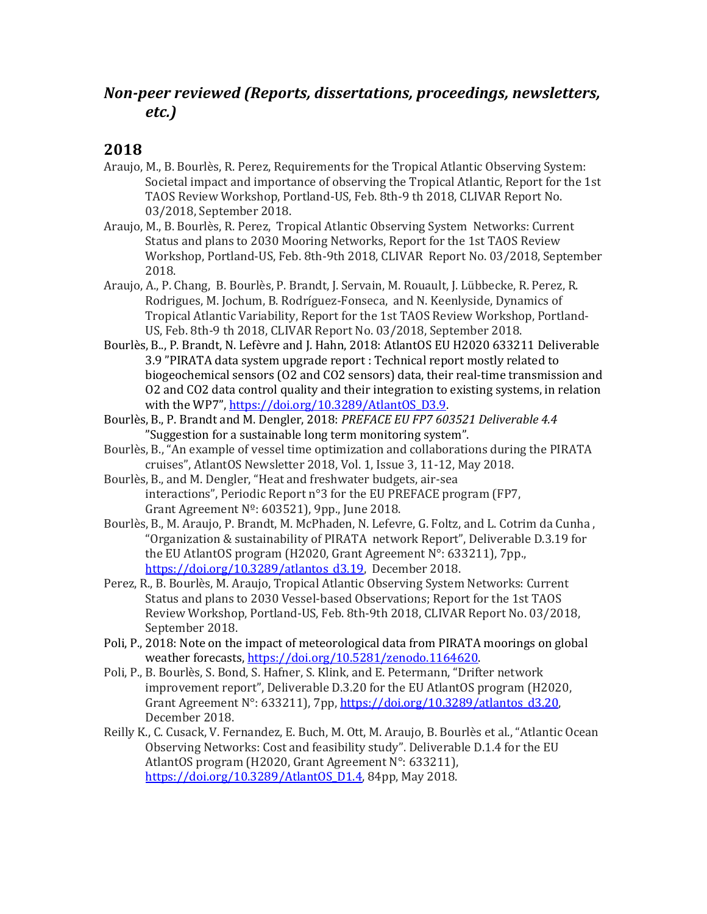## *Non-peer reviewed (Reports, dissertations, proceedings, newsletters, etc.)*

## **2018**

- Araujo, M., B. Bourlès, R. Perez, Requirements for the Tropical Atlantic Observing System: Societal impact and importance of observing the Tropical Atlantic, Report for the 1st TAOS Review Workshop, Portland-US, Feb. 8th-9 th 2018, CLIVAR Report No. 03/2018, September 2018.
- Araujo, M., B. Bourlès, R. Perez, Tropical Atlantic Observing System Networks: Current Status and plans to 2030 Mooring Networks, Report for the 1st TAOS Review Workshop, Portland-US, Feb. 8th-9th 2018, CLIVAR Report No. 03/2018, September 2018.
- Araujo, A., P. Chang, B. Bourlès, P. Brandt, J. Servain, M. Rouault, J. Lübbecke, R. Perez, R. Rodrigues, M. Jochum, B. Rodríguez-Fonseca, and N. Keenlyside, Dynamics of Tropical Atlantic Variability, Report for the 1st TAOS Review Workshop, Portland-US, Feb. 8th-9 th 2018, CLIVAR Report No. 03/2018, September 2018.
- Bourlès, B.., P. Brandt, N. Lefèvre and J. Hahn, 2018: AtlantOS EU H2020 633211 Deliverable 3.9 "PIRATA data system upgrade report : Technical report mostly related to biogeochemical sensors (O2 and CO2 sensors) data, their real-time transmission and O2 and CO2 data control quality and their integration to existing systems, in relation with the WP7", https://doi.org/10.3289/AtlantOS\_D3.9.
- Bourlès, B., P. Brandt and M. Dengler, 2018: *PREFACE EU FP7 603521 Deliverable 4.4* "Suggestion for a sustainable long term monitoring system".
- Bourlès, B., "An example of vessel time optimization and collaborations during the PIRATA cruises", AtlantOS Newsletter 2018, Vol. 1, Issue 3, 11-12, May 2018.
- Bourlès, B., and M. Dengler, "Heat and freshwater budgets, air-sea interactions", Periodic Report n°3 for the EU PREFACE program (FP7, Grant Agreement  $N^{\circ}$ : 603521), 9pp., June 2018.
- Bourlès, B., M. Araujo, P. Brandt, M. McPhaden, N. Lefevre, G. Foltz, and L. Cotrim da Cunha, "Organization & sustainability of PIRATA network Report", Deliverable D.3.19 for the EU AtlantOS program (H2020, Grant Agreement  $N^{\circ}$ : 633211), 7pp., https://doi.org/10.3289/atlantos d3.19, December 2018.
- Perez, R., B. Bourlès, M. Araujo, Tropical Atlantic Observing System Networks: Current Status and plans to 2030 Vessel-based Observations; Report for the 1st TAOS Review Workshop, Portland-US, Feb. 8th-9th 2018, CLIVAR Report No. 03/2018, September 2018.
- Poli, P., 2018: Note on the impact of meteorological data from PIRATA moorings on global weather forecasts, https://doi.org/10.5281/zenodo.1164620.
- Poli, P., B. Bourlès, S. Bond, S. Hafner, S. Klink, and E. Petermann, "Drifter network improvement report", Deliverable D.3.20 for the EU AtlantOS program (H2020, Grant Agreement N°: 633211), 7pp, https://doi.org/10.3289/atlantos\_d3.20, December 2018.
- Reilly K., C. Cusack, V. Fernandez, E. Buch, M. Ott, M. Araujo, B. Bourlès et al., "Atlantic Ocean Observing Networks: Cost and feasibility study". Deliverable D.1.4 for the EU AtlantOS program (H2020, Grant Agreement N°: 633211), https://doi.org/10.3289/AtlantOS\_D1.4, 84pp, May 2018.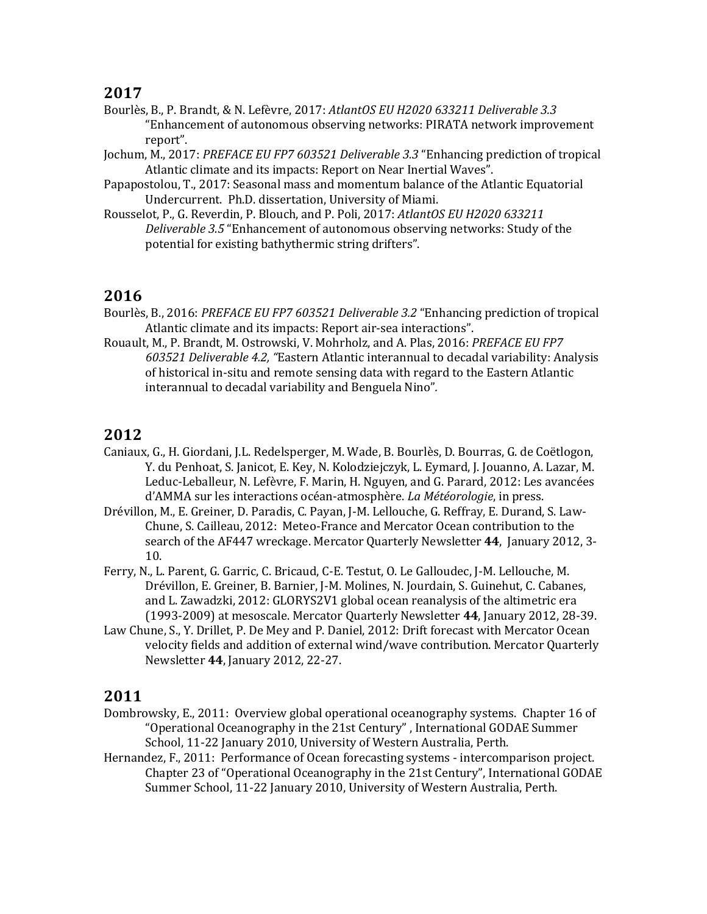#### **2017**

- Bourlès, B., P. Brandt, & N. Lefèvre, 2017: *AtlantOS EU H2020 633211 Deliverable 3.3* "Enhancement of autonomous observing networks: PIRATA network improvement report".
- Jochum, M., 2017: *PREFACE EU FP7 603521 Deliverable 3.3* "Enhancing prediction of tropical Atlantic climate and its impacts: Report on Near Inertial Waves".
- Papapostolou, T., 2017: Seasonal mass and momentum balance of the Atlantic Equatorial Undercurrent. Ph.D. dissertation, University of Miami.
- Rousselot, P., G. Reverdin, P. Blouch, and P. Poli, 2017: AtlantOS EU H2020 633211 Deliverable 3.5 "Enhancement of autonomous observing networks: Study of the potential for existing bathythermic string drifters".

## **2016**

- Bourlès, B., 2016: *PREFACE EU FP7 603521 Deliverable 3.2* "Enhancing prediction of tropical Atlantic climate and its impacts: Report air-sea interactions".
- Rouault, M., P. Brandt, M. Ostrowski, V. Mohrholz, and A. Plas, 2016: PREFACE EU FP7 *603521 Deliverable 4.2, "*Eastern Atlantic interannual to decadal variability: Analysis of historical in-situ and remote sensing data with regard to the Eastern Atlantic interannual to decadal variability and Benguela Nino".

## **2012**

- Caniaux, G., H. Giordani, J.L. Redelsperger, M. Wade, B. Bourlès, D. Bourras, G. de Coëtlogon, Y. du Penhoat, S. Janicot, E. Key, N. Kolodziejczyk, L. Eymard, J. Jouanno, A. Lazar, M. Leduc-Leballeur, N. Lefèvre, F. Marin, H. Nguyen, and G. Parard, 2012: Les avancées d'AMMA sur les interactions océan-atmosphère. La Météorologie, in press.
- Drévillon, M., E. Greiner, D. Paradis, C. Payan, J-M. Lellouche, G. Reffray, E. Durand, S. Law-Chune, S. Cailleau, 2012: Meteo-France and Mercator Ocean contribution to the search of the AF447 wreckage. Mercator Quarterly Newsletter 44, January 2012, 3-10.
- Ferry, N., L. Parent, G. Garric, C. Bricaud, C-E. Testut, O. Le Galloudec, J-M. Lellouche, M. Drévillon, E. Greiner, B. Barnier, J-M. Molines, N. Jourdain, S. Guinehut, C. Cabanes, and L. Zawadzki, 2012: GLORYS2V1 global ocean reanalysis of the altimetric era (1993-2009) at mesoscale. Mercator Quarterly Newsletter 44, January 2012, 28-39.
- Law Chune, S., Y. Drillet, P. De Mey and P. Daniel, 2012: Drift forecast with Mercator Ocean velocity fields and addition of external wind/wave contribution. Mercator Quarterly Newsletter **44**, January 2012, 22-27.

## **2011**

- Dombrowsky, E., 2011: Overview global operational oceanography systems. Chapter 16 of "Operational Oceanography in the 21st Century", International GODAE Summer School, 11-22 January 2010, University of Western Australia, Perth.
- Hernandez, F., 2011: Performance of Ocean forecasting systems intercomparison project. Chapter 23 of "Operational Oceanography in the 21st Century", International GODAE Summer School, 11-22 January 2010, University of Western Australia, Perth.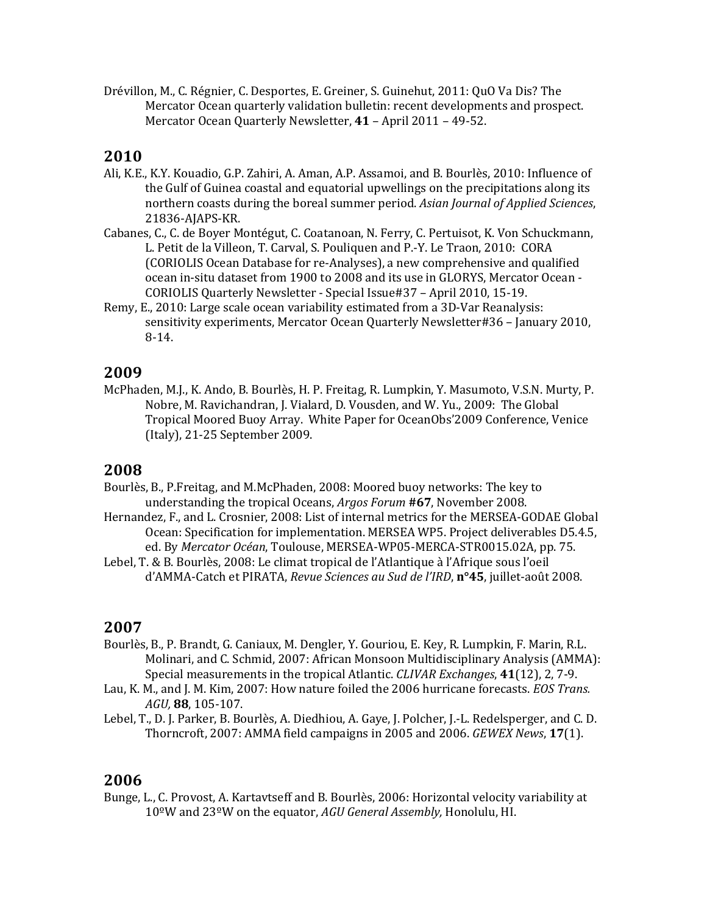Drévillon, M., C. Régnier, C. Desportes, E. Greiner, S. Guinehut, 2011: QuO Va Dis? The Mercator Ocean quarterly validation bulletin: recent developments and prospect. Mercator Ocean Quarterly Newsletter, 41 - April 2011 - 49-52.

## **2010**

- Ali, K.E., K.Y. Kouadio, G.P. Zahiri, A. Aman, A.P. Assamoi, and B. Bourlès, 2010: Influence of the Gulf of Guinea coastal and equatorial upwellings on the precipitations along its northern coasts during the boreal summer period. Asian Journal of Applied Sciences, 21836-AJAPS-KR.
- Cabanes, C., C. de Boyer Montégut, C. Coatanoan, N. Ferry, C. Pertuisot, K. Von Schuckmann, L. Petit de la Villeon, T. Carval, S. Pouliquen and P.-Y. Le Traon, 2010: CORA (CORIOLIS Ocean Database for re-Analyses), a new comprehensive and qualified ocean in-situ dataset from 1900 to 2008 and its use in GLORYS, Mercator Ocean -CORIOLIS Quarterly Newsletter - Special Issue#37 - April 2010, 15-19.
- Remy, E., 2010: Large scale ocean variability estimated from a 3D-Var Reanalysis: sensitivity experiments, Mercator Ocean Quarterly Newsletter#36 - January 2010, 8-14.

## **2009**

McPhaden, M.J., K. Ando, B. Bourlès, H. P. Freitag, R. Lumpkin, Y. Masumoto, V.S.N. Murty, P. Nobre, M. Ravichandran, J. Vialard, D. Vousden, and W. Yu., 2009: The Global Tropical Moored Buoy Array. White Paper for OceanObs'2009 Conference, Venice (Italy), 21-25 September 2009.

## **2008**

- Bourlès, B., P.Freitag, and M.McPhaden, 2008: Moored buoy networks: The key to understanding the tropical Oceans, *Argos Forum* #67, November 2008.
- Hernandez, F., and L. Crosnier, 2008: List of internal metrics for the MERSEA-GODAE Global Ocean: Specification for implementation. MERSEA WP5. Project deliverables D5.4.5, ed. By Mercator Océan, Toulouse, MERSEA-WP05-MERCA-STR0015.02A, pp. 75.
- Lebel, T. & B. Bourlès, 2008: Le climat tropical de l'Atlantique à l'Afrique sous l'oeil d'AMMA-Catch et PIRATA, *Revue Sciences au Sud de l'IRD*, n°45, juillet-août 2008.

## **2007**

- Bourlès, B., P. Brandt, G. Caniaux, M. Dengler, Y. Gouriou, E. Key, R. Lumpkin, F. Marin, R.L. Molinari, and C. Schmid, 2007: African Monsoon Multidisciplinary Analysis (AMMA): Special measurements in the tropical Atlantic. *CLIVAR Exchanges*, 41(12), 2, 7-9.
- Lau, K. M., and J. M. Kim, 2007: How nature foiled the 2006 hurricane forecasts. *EOS Trans. AGU,* **88**, 105-107.

Lebel, T., D. J. Parker, B. Bourlès, A. Diedhiou, A. Gaye, J. Polcher, J.-L. Redelsperger, and C. D. Thorncroft, 2007: AMMA field campaigns in 2005 and 2006. *GEWEX News*, 17(1).

## **2006**

Bunge, L., C. Provost, A. Kartavtseff and B. Bourlès, 2006: Horizontal velocity variability at 10<sup>°</sup>W and 23<sup>°</sup>W on the equator, *AGU General Assembly*, Honolulu, HI.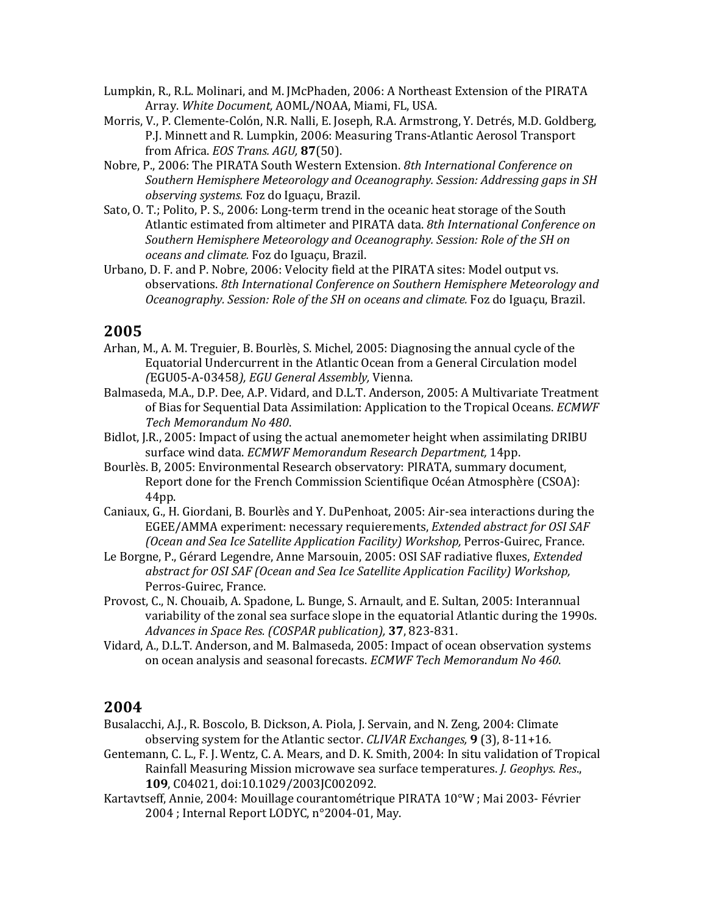- Lumpkin, R., R.L. Molinari, and M. JMcPhaden, 2006: A Northeast Extension of the PIRATA Array. White Document, AOML/NOAA, Miami, FL, USA.
- Morris, V., P. Clemente-Colón, N.R. Nalli, E. Joseph, R.A. Armstrong, Y. Detrés, M.D. Goldberg, P.J. Minnett and R. Lumpkin, 2006: Measuring Trans-Atlantic Aerosol Transport from Africa. *EOS Trans. AGU,* **87**(50).
- Nobre, P., 2006: The PIRATA South Western Extension. 8th International Conference on *Southern Hemisphere Meteorology and Oceanography. Session: Addressing gaps in SH observing systems.* Foz do Iguaçu, Brazil.
- Sato, O. T.; Polito, P. S., 2006: Long-term trend in the oceanic heat storage of the South Atlantic estimated from altimeter and PIRATA data. 8th International Conference on Southern Hemisphere Meteorology and Oceanography. Session: Role of the SH on *oceans and climate.* Foz do Iguaçu, Brazil.
- Urbano, D. F. and P. Nobre, 2006: Velocity field at the PIRATA sites: Model output vs. observations. 8th International Conference on Southern Hemisphere Meteorology and *Oceanography. Session: Role of the SH on oceans and climate. Foz do Iguaçu, Brazil.*

#### **2005**

- Arhan, M., A. M. Treguier, B. Bourlès, S. Michel, 2005: Diagnosing the annual cycle of the Equatorial Undercurrent in the Atlantic Ocean from a General Circulation model *(*EGU05-A-03458*), EGU General Assembly,* Vienna.
- Balmaseda, M.A., D.P. Dee, A.P. Vidard, and D.L.T. Anderson, 2005: A Multivariate Treatment of Bias for Sequential Data Assimilation: Application to the Tropical Oceans. *ECMWF Tech Memorandum No 480*.
- Bidlot, J.R., 2005: Impact of using the actual anemometer height when assimilating DRIBU surface wind data. *ECMWF Memorandum Research Department*, 14pp.
- Bourlès. B, 2005: Environmental Research observatory: PIRATA, summary document, Report done for the French Commission Scientifique Océan Atmosphère (CSOA): 44pp.
- Caniaux, G., H. Giordani, B. Bourlès and Y. DuPenhoat, 2005: Air-sea interactions during the EGEE/AMMA experiment: necessary requierements, *Extended abstract for OSI SAF (Ocean and Sea Ice Satellite Application Facility) Workshop, Perros-Guirec, France.*
- Le Borgne, P., Gérard Legendre, Anne Marsouin, 2005: OSI SAF radiative fluxes, *Extended* abstract for OSI SAF (Ocean and Sea Ice Satellite Application Facility) Workshop, Perros-Guirec, France.
- Provost, C., N. Chouaib, A. Spadone, L. Bunge, S. Arnault, and E. Sultan, 2005: Interannual variability of the zonal sea surface slope in the equatorial Atlantic during the 1990s. *Advances in Space Res. (COSPAR publication),* **37**, 823-831.
- Vidard, A., D.L.T. Anderson, and M. Balmaseda, 2005: Impact of ocean observation systems on ocean analysis and seasonal forecasts. *ECMWF Tech Memorandum No 460*.

#### **2004**

- Busalacchi, A.J., R. Boscolo, B. Dickson, A. Piola, J. Servain, and N. Zeng, 2004: Climate observing system for the Atlantic sector. *CLIVAR Exchanges*, 9 (3), 8-11+16.
- Gentemann, C. L., F. J. Wentz, C. A. Mears, and D. K. Smith, 2004: In situ validation of Tropical Rainfall Measuring Mission microwave sea surface temperatures. *J. Geophys. Res.*, **109**, C04021, doi:10.1029/2003JC002092.
- Kartavtseff, Annie, 2004: Mouillage courantométrique PIRATA 10°W ; Mai 2003- Février 2004 ; Internal Report LODYC, n°2004-01, May.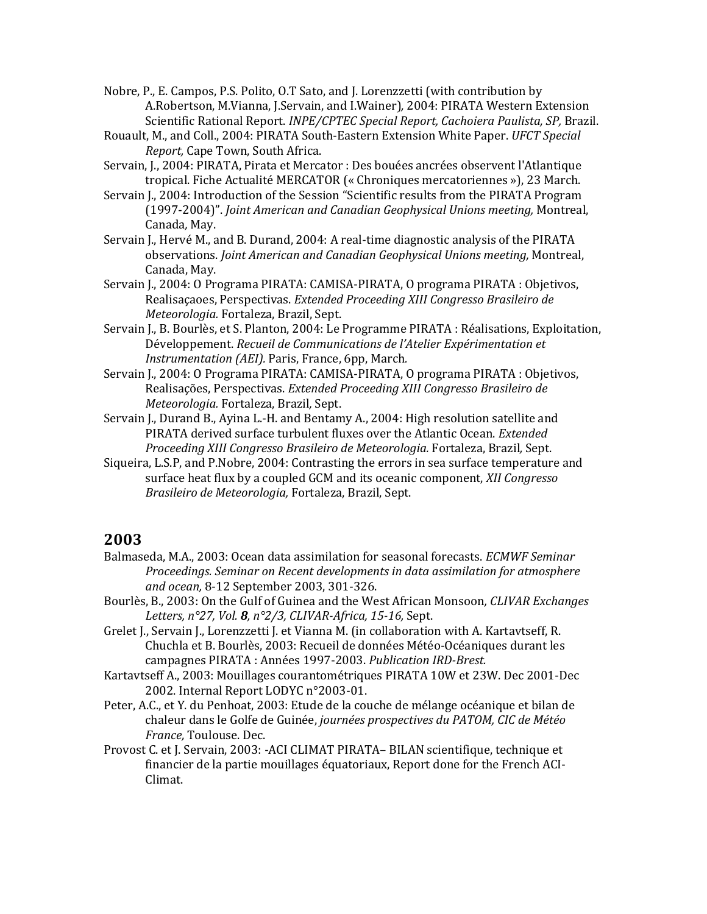- Nobre, P., E. Campos, P.S. Polito, O.T Sato, and J. Lorenzzetti (with contribution by A.Robertson, M.Vianna, J.Servain, and I.Wainer), 2004: PIRATA Western Extension Scientific Rational Report. *INPE/CPTEC Special Report, Cachoiera Paulista, SP*, Brazil.
- Rouault, M., and Coll., 2004: PIRATA South-Eastern Extension White Paper. UFCT Special *Report,* Cape Town, South Africa.
- Servain, J., 2004: PIRATA, Pirata et Mercator : Des bouées ancrées observent l'Atlantique tropical. Fiche Actualité MERCATOR (« Chroniques mercatoriennes »), 23 March.
- Servain J., 2004: Introduction of the Session "Scientific results from the PIRATA Program (1997-2004)". *Joint American and Canadian Geophysical Unions meeting, Montreal,* Canada*,* May.
- Servain J., Hervé M., and B. Durand, 2004: A real-time diagnostic analysis of the PIRATA observations. *Joint American and Canadian Geophysical Unions meeting*, Montreal, Canada, May.
- Servain J., 2004: O Programa PIRATA: CAMISA-PIRATA, O programa PIRATA : Objetivos, Realisaçaoes, Perspectivas. *Extended Proceeding XIII Congresso Brasileiro de Meteorologia.* Fortaleza, Brazil, Sept.
- Servain J., B. Bourlès, et S. Planton, 2004: Le Programme PIRATA : Réalisations, Exploitation, Développement. *Recueil de Communications de l'Atelier Expérimentation et Instrumentation (AEI).* Paris, France, 6pp, March.
- Servain J., 2004: O Programa PIRATA: CAMISA-PIRATA, O programa PIRATA : Objetivos, Realisações, Perspectivas. *Extended Proceeding XIII Congresso Brasileiro de Meteorologia.* Fortaleza, Brazil*,* Sept.
- Servain J., Durand B., Ayina L.-H. and Bentamy A., 2004: High resolution satellite and PIRATA derived surface turbulent fluxes over the Atlantic Ocean. *Extended Proceeding XIII Congresso Brasileiro de Meteorologia.* Fortaleza, Brazil*,* Sept.
- Siqueira, L.S.P, and P.Nobre, 2004: Contrasting the errors in sea surface temperature and surface heat flux by a coupled GCM and its oceanic component, *XII Congresso Brasileiro de Meteorologia,* Fortaleza, Brazil, Sept.

## **2003**

- Balmaseda, M.A., 2003: Ocean data assimilation for seasonal forecasts. *ECMWF Seminar* Proceedings. Seminar on Recent developments in data assimilation for atmosphere *and ocean,* 8-12 September 2003, 301-326.
- Bourlès, B., 2003: On the Gulf of Guinea and the West African Monsoon, *CLIVAR Exchanges* Letters, n°27, *Vol.* **8**, n°2/3, *CLIVAR-Africa*, 15-16, Sept.
- Grelet J., Servain J., Lorenzzetti J. et Vianna M. (in collaboration with A. Kartavtseff, R. Chuchla et B. Bourlès, 2003: Recueil de données Météo-Océaniques durant les campagnes PIRATA : Années 1997-2003. *Publication IRD-Brest.*
- Kartavtseff A., 2003: Mouillages courantométriques PIRATA 10W et 23W. Dec 2001-Dec 2002. Internal Report LODYC n°2003-01.
- Peter, A.C., et Y. du Penhoat, 2003: Etude de la couche de mélange océanique et bilan de chaleur dans le Golfe de Guinée, journées prospectives du PATOM, CIC de Météo *France*, Toulouse. Dec.
- Provost C. et J. Servain, 2003: -ACI CLIMAT PIRATA- BILAN scientifique, technique et financier de la partie mouillages équatoriaux, Report done for the French ACI-Climat.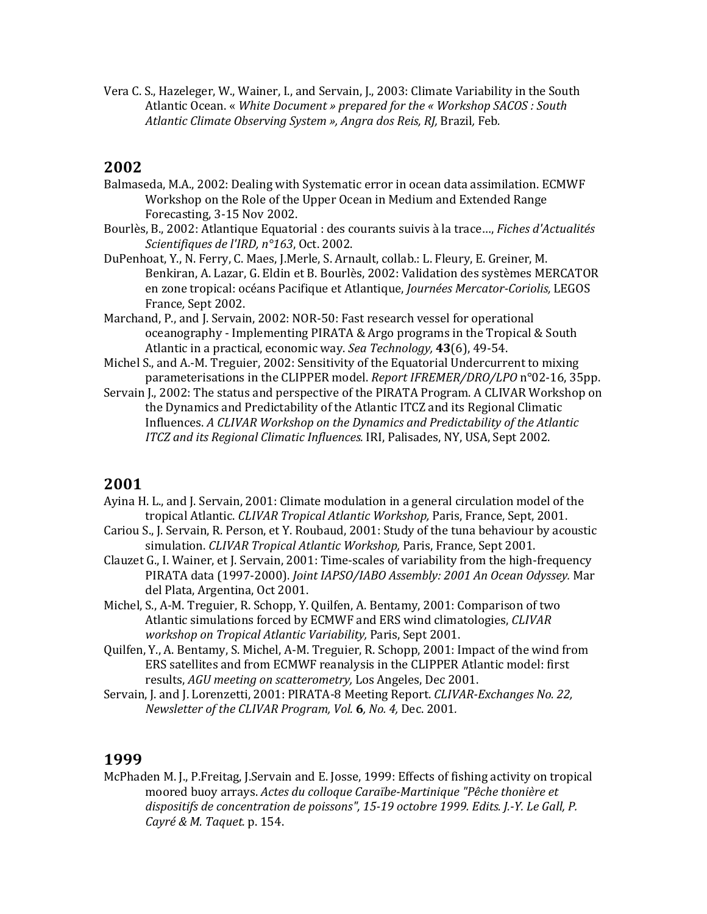Vera C. S., Hazeleger, W., Wainer, I., and Servain, J., 2003: Climate Variability in the South Atlantic Ocean. « White Document » prepared for the « Workshop SACOS : South *Atlantic Climate Observing System », Angra dos Reis, RJ,* Brazil*,* Feb*.*

#### **2002**

- Balmaseda, M.A., 2002: Dealing with Systematic error in ocean data assimilation. ECMWF Workshop on the Role of the Upper Ocean in Medium and Extended Range Forecasting, 3-15 Nov 2002.
- Bourlès, B., 2002: Atlantique Equatorial : des courants suivis à la trace..., *Fiches d'Actualités Scientifiques de l'IRD, n°163, Oct. 2002.*
- DuPenhoat, Y., N. Ferry, C. Maes, J.Merle, S. Arnault, collab.: L. Fleury, E. Greiner, M. Benkiran, A. Lazar, G. Eldin et B. Bourlès, 2002: Validation des systèmes MERCATOR en zone tropical: océans Pacifique et Atlantique, *Journées Mercator-Coriolis*, LEGOS France, Sept 2002.
- Marchand, P., and J. Servain, 2002: NOR-50: Fast research vessel for operational oceanography - Implementing PIRATA & Argo programs in the Tropical & South Atlantic in a practical, economic way. *Sea Technology*, **43**(6), 49-54.
- Michel S., and A.-M. Treguier, 2002: Sensitivity of the Equatorial Undercurrent to mixing parameterisations in the CLIPPER model. *Report IFREMER/DRO/LPO* n°02-16, 35pp.
- Servain J., 2002: The status and perspective of the PIRATA Program. A CLIVAR Workshop on the Dynamics and Predictability of the Atlantic ITCZ and its Regional Climatic Influences. A CLIVAR Workshop on the Dynamics and Predictability of the Atlantic *ITCZ* and its Regional Climatic Influences. IRI, Palisades, NY, USA, Sept 2002.

#### **2001**

- Ayina H. L., and J. Servain, 2001: Climate modulation in a general circulation model of the tropical Atlantic. *CLIVAR Tropical Atlantic Workshop*, Paris, France, Sept, 2001.
- Cariou S., J. Servain, R. Person, et Y. Roubaud, 2001: Study of the tuna behaviour by acoustic simulation. *CLIVAR Tropical Atlantic Workshop*, Paris, France, Sept 2001.
- Clauzet G., I. Wainer, et J. Servain, 2001: Time-scales of variability from the high-frequency PIRATA data (1997-2000). *Joint IAPSO/IABO Assembly: 2001 An Ocean Odyssey.* Mar del Plata, Argentina, Oct 2001.
- Michel, S., A-M. Treguier, R. Schopp, Y. Quilfen, A. Bentamy, 2001: Comparison of two Atlantic simulations forced by ECMWF and ERS wind climatologies, *CLIVAR workshop on Tropical Atlantic Variability, Paris, Sept 2001.*
- Quilfen, Y., A. Bentamy, S. Michel, A-M. Treguier, R. Schopp, 2001: Impact of the wind from ERS satellites and from ECMWF reanalysis in the CLIPPER Atlantic model: first results, *AGU* meeting on scatterometry, Los Angeles, Dec 2001.
- Servain, J. and J. Lorenzetti, 2001: PIRATA-8 Meeting Report. *CLIVAR-Exchanges No. 22*, *Newsletter of the CLIVAR Program, Vol.* 6, No. 4, Dec. 2001.

#### **1999**

McPhaden M. J., P.Freitag, J.Servain and E. Josse, 1999: Effects of fishing activity on tropical moored buoy arrays. Actes du colloque Caraïbe-Martinique "Pêche thonière et dispositifs de concentration de poissons", 15-19 octobre 1999. Edits. J.-Y. Le Gall, P. *Cayré & M. Taquet.* p. 154.